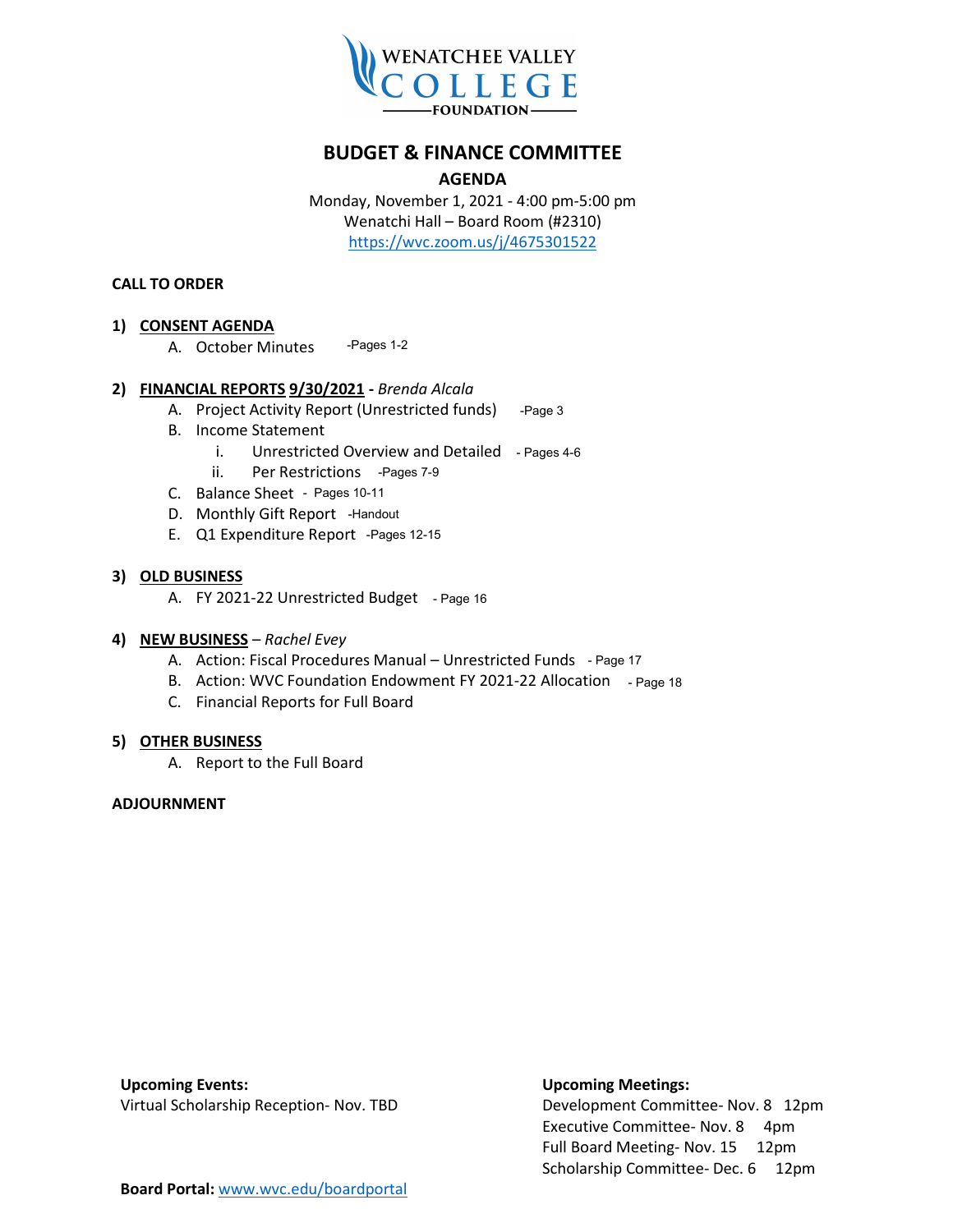

#### **BUDGET & FINANCE COMMITTEE**

#### **AGENDA**

Monday, November 1, 2021 - 4:00 pm-5:00 pm Wenatchi Hall – Board Room (#2310) <https://wvc.zoom.us/j/4675301522>

#### **CALL TO ORDER**

#### **1) CONSENT AGENDA**

A. October Minutes -Pages 1-2

#### **2) FINANCIAL REPORTS 9/30/2021 -** *Brenda Alcala*

- A. Project Activity Report (Unrestricted funds) -Page 3
- B. Income Statement
	- i. Unrestricted Overview and Detailed Pages 4-6
	- ii. Per Restrictions -Pages 7-9
- C. Balance Sheet Pages 10-11
- D. Monthly Gift Report Handout
- E. Q1 Expenditure Report Pages 12-15

#### **3) OLD BUSINESS**

A. FY 2021-22 Unrestricted Budget - Page 16

#### **4) NEW BUSINESS** – *Rachel Evey*

- A. Action: Fiscal Procedures Manual Unrestricted Funds Page 17
- B. Action: WVC Foundation Endowment FY 2021-22 Allocation Page 18
- C. Financial Reports for Full Board

#### **5) OTHER BUSINESS**

A. Report to the Full Board

#### **ADJOURNMENT**

**Upcoming Events: Upcoming Meetings:**

Virtual Scholarship Reception- Nov. TBD Development Committee- Nov. 8 12pm Executive Committee- Nov. 8 4pm Full Board Meeting- Nov. 15 12pm Scholarship Committee- Dec. 6 12pm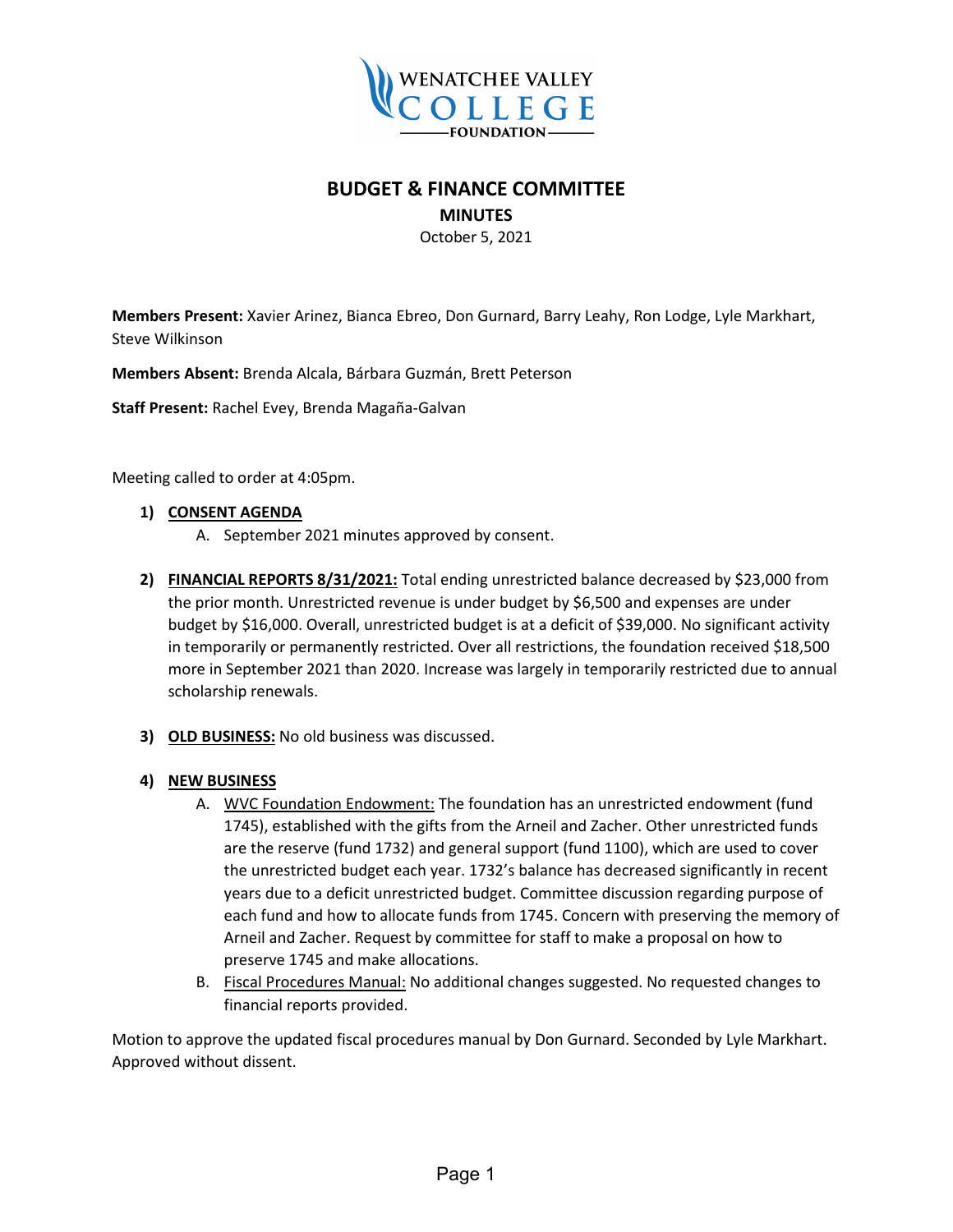

### **BUDGET & FINANCE COMMITTEE**

#### **MINUTES**

October 5, 2021

**Members Present:** Xavier Arinez, Bianca Ebreo, Don Gurnard, Barry Leahy, Ron Lodge, Lyle Markhart, Steve Wilkinson

**Members Absent:** Brenda Alcala, Bárbara Guzmán, Brett Peterson

**Staff Present:** Rachel Evey, Brenda Magaña-Galvan

Meeting called to order at 4:05pm.

#### **1) CONSENT AGENDA**

- A. September 2021 minutes approved by consent.
- **2) FINANCIAL REPORTS 8/31/2021:** Total ending unrestricted balance decreased by \$23,000 from the prior month. Unrestricted revenue is under budget by \$6,500 and expenses are under budget by \$16,000. Overall, unrestricted budget is at a deficit of \$39,000. No significant activity in temporarily or permanently restricted. Over all restrictions, the foundation received \$18,500 more in September 2021 than 2020. Increase was largely in temporarily restricted due to annual scholarship renewals.
- **3) OLD BUSINESS:** No old business was discussed.

#### **4) NEW BUSINESS**

- A. WVC Foundation Endowment: The foundation has an unrestricted endowment (fund 1745), established with the gifts from the Arneil and Zacher. Other unrestricted funds are the reserve (fund 1732) and general support (fund 1100), which are used to cover the unrestricted budget each year. 1732's balance has decreased significantly in recent years due to a deficit unrestricted budget. Committee discussion regarding purpose of each fund and how to allocate funds from 1745. Concern with preserving the memory of Arneil and Zacher. Request by committee for staff to make a proposal on how to preserve 1745 and make allocations.
- B. Fiscal Procedures Manual: No additional changes suggested. No requested changes to financial reports provided.

Motion to approve the updated fiscal procedures manual by Don Gurnard. Seconded by Lyle Markhart. Approved without dissent.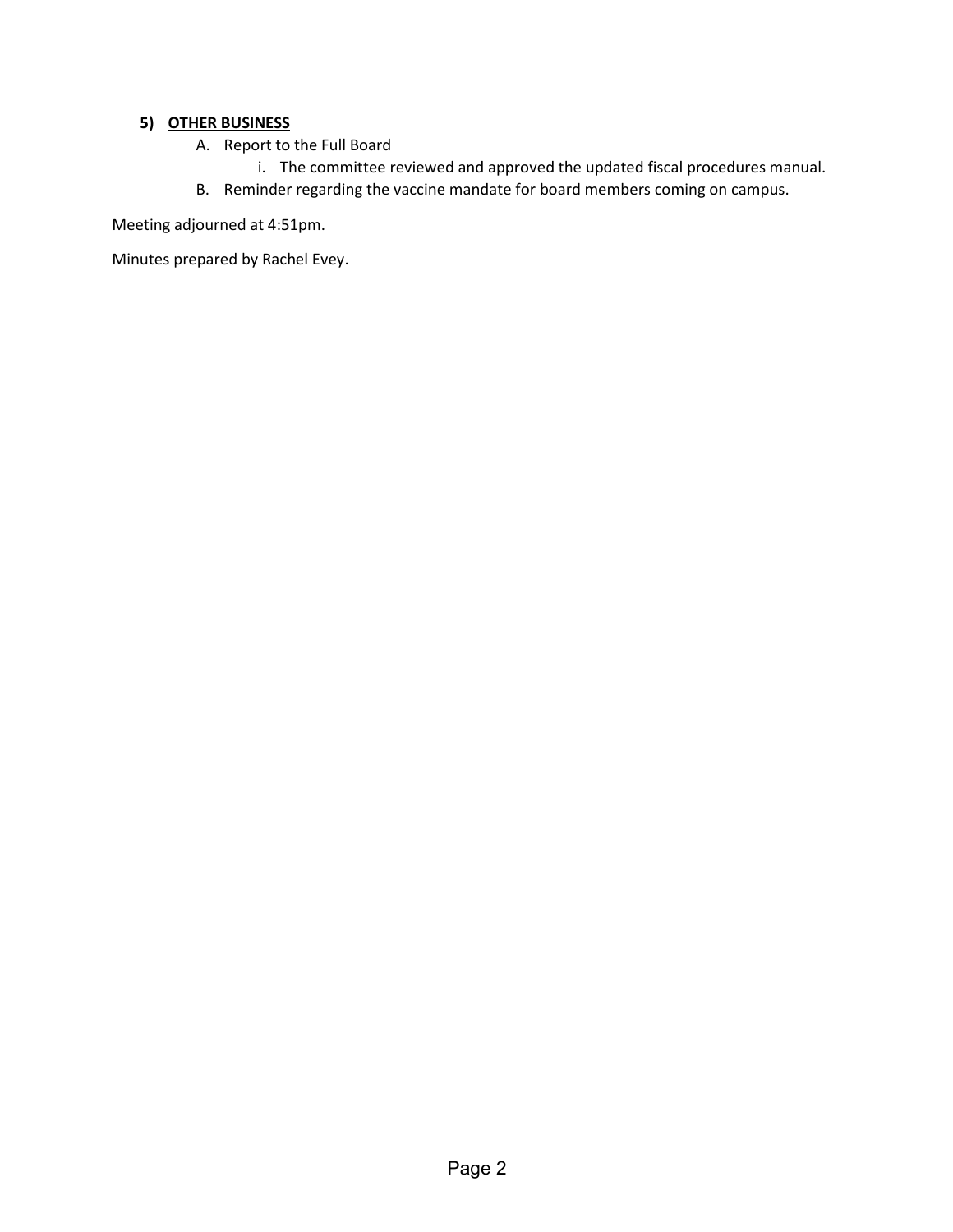#### **5) OTHER BUSINESS**

- A. Report to the Full Board
	- i. The committee reviewed and approved the updated fiscal procedures manual.
- B. Reminder regarding the vaccine mandate for board members coming on campus.

Meeting adjourned at 4:51pm.

Minutes prepared by Rachel Evey.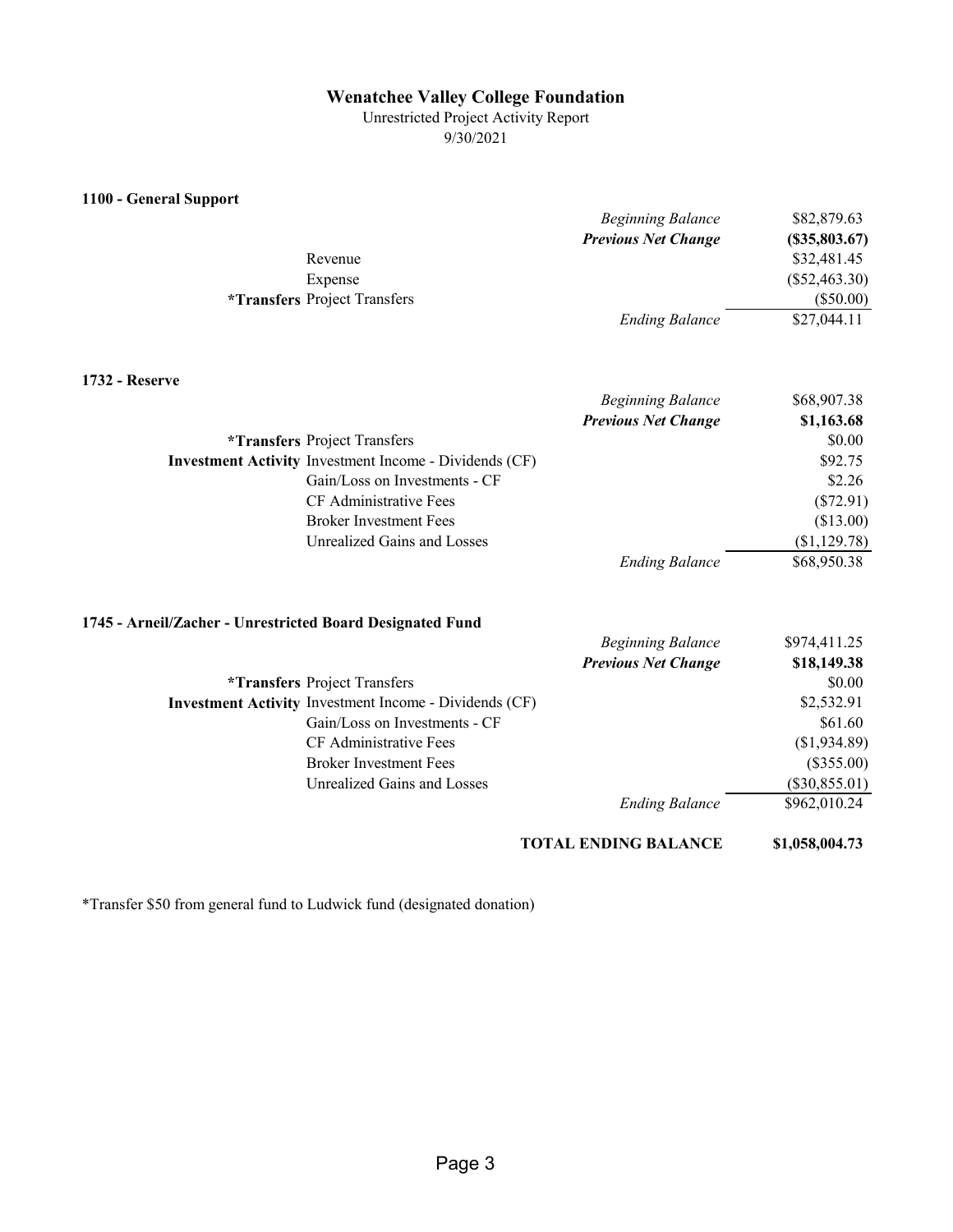#### **Wenatchee Valley College Foundation**

Unrestricted Project Activity Report 9/30/2021

| 1100 - General Support                                        |                            |                     |
|---------------------------------------------------------------|----------------------------|---------------------|
|                                                               | <b>Beginning Balance</b>   | \$82,879.63         |
|                                                               | <b>Previous Net Change</b> | $($ \$35,803.67 $)$ |
| Revenue                                                       |                            | \$32,481.45         |
| Expense                                                       |                            | $(\$52,463.30)$     |
| <i><b>*Transfers Project Transfers</b></i>                    |                            | $(\$50.00)$         |
|                                                               | <b>Ending Balance</b>      | \$27,044.11         |
| <b>1732 - Reserve</b>                                         |                            |                     |
|                                                               | <b>Beginning Balance</b>   | \$68,907.38         |
|                                                               | <b>Previous Net Change</b> | \$1,163.68          |
| <i><b>*Transfers Project Transfers</b></i>                    |                            | \$0.00              |
| Investment Activity Investment Income - Dividends (CF)        |                            | \$92.75             |
| Gain/Loss on Investments - CF                                 |                            | \$2.26              |
| CF Administrative Fees                                        |                            | $(\$72.91)$         |
| <b>Broker Investment Fees</b>                                 |                            | (\$13.00)           |
| Unrealized Gains and Losses                                   |                            | (\$1,129.78)        |
|                                                               | <b>Ending Balance</b>      | \$68,950.38         |
| 1745 - Arneil/Zacher - Unrestricted Board Designated Fund     |                            |                     |
|                                                               | <b>Beginning Balance</b>   | \$974,411.25        |
|                                                               | <b>Previous Net Change</b> | \$18,149.38         |
| <i><b>*Transfers Project Transfers</b></i>                    |                            | \$0.00              |
| <b>Investment Activity Investment Income - Dividends (CF)</b> |                            | \$2,532.91          |
|                                                               |                            |                     |

Gain/Loss on Investments - CF \$61.60 CF Administrative Fees (\$1,934.89) Broker Investment Fees (\$355.00) Unrealized Gains and Losses (\$30,855.01) *Ending Balance* \$962,010.24

**TOTAL ENDING BALANCE \$1,058,004.73**

\*Transfer \$50 from general fund to Ludwick fund (designated donation)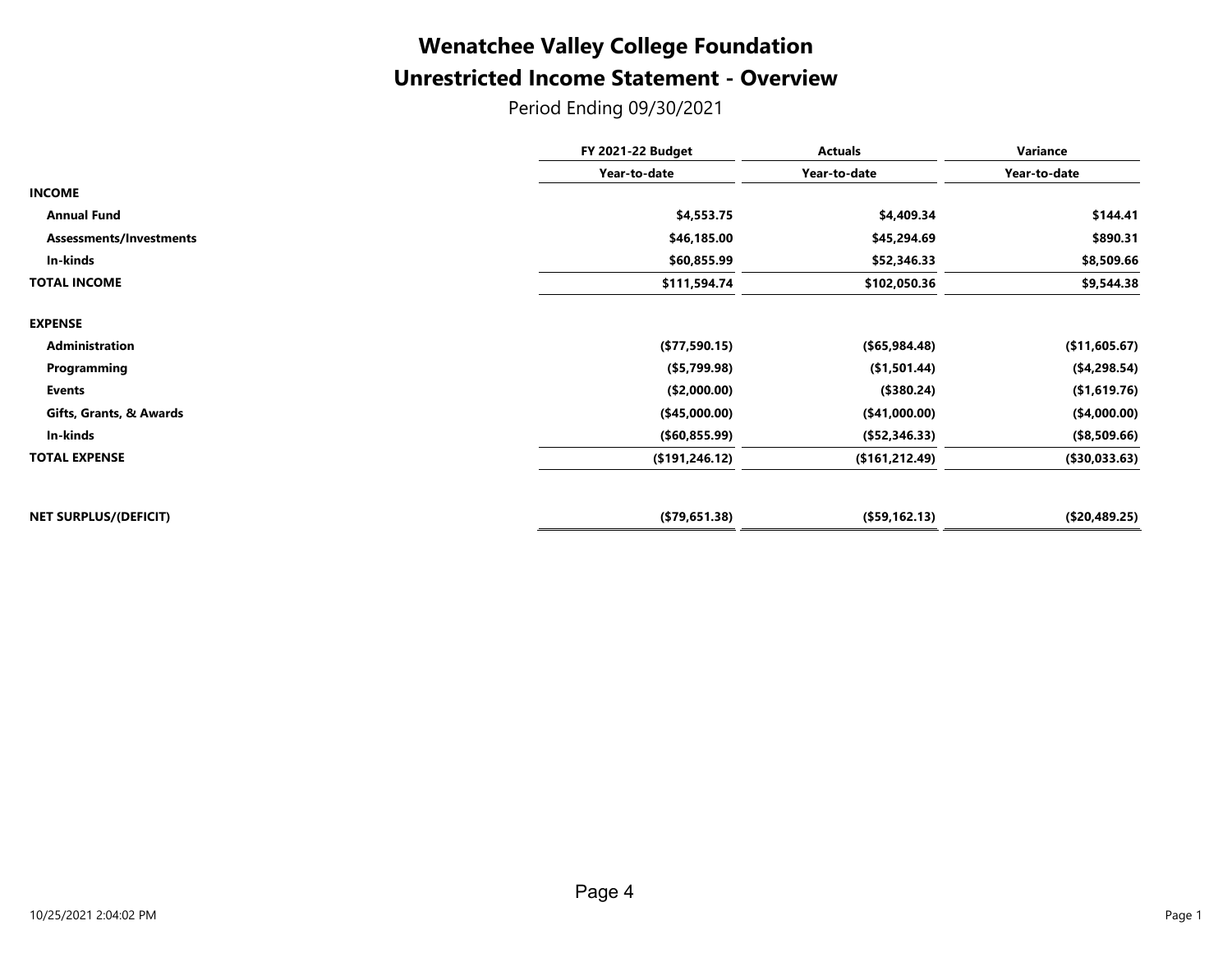### **Unrestricted Income Statement - Overview Wenatchee Valley College Foundation**

Period Ending 09/30/2021

| <b>FY 2021-22 Budget</b> | <b>Actuals</b>  | Variance<br>Year-to-date |  |
|--------------------------|-----------------|--------------------------|--|
| Year-to-date             | Year-to-date    |                          |  |
|                          |                 |                          |  |
| \$4,553.75               | \$4,409.34      | \$144.41                 |  |
| \$46,185.00              | \$45,294.69     | \$890.31                 |  |
| \$60,855.99              | \$52,346.33     | \$8,509.66               |  |
| \$111,594.74             | \$102,050.36    | \$9,544.38               |  |
|                          |                 |                          |  |
| (\$77,590.15)            | ( \$65, 984.48) | (\$11,605.67)            |  |
| (\$5,799.98)             | (\$1,501.44)    | (\$4,298.54)             |  |
| (\$2,000.00)             | (\$380.24)      | (\$1,619.76)             |  |
| (\$45,000.00)            | (\$41,000.00)   | (\$4,000.00)             |  |
| ( \$60, 855.99)          | (\$52,346.33)   | (\$8,509.66)             |  |
| (\$191, 246.12)          | (\$161, 212.49) | (\$30,033.63)            |  |
| (\$79,651.38)            | (\$59,162.13)   | (\$20,489.25)            |  |
|                          |                 |                          |  |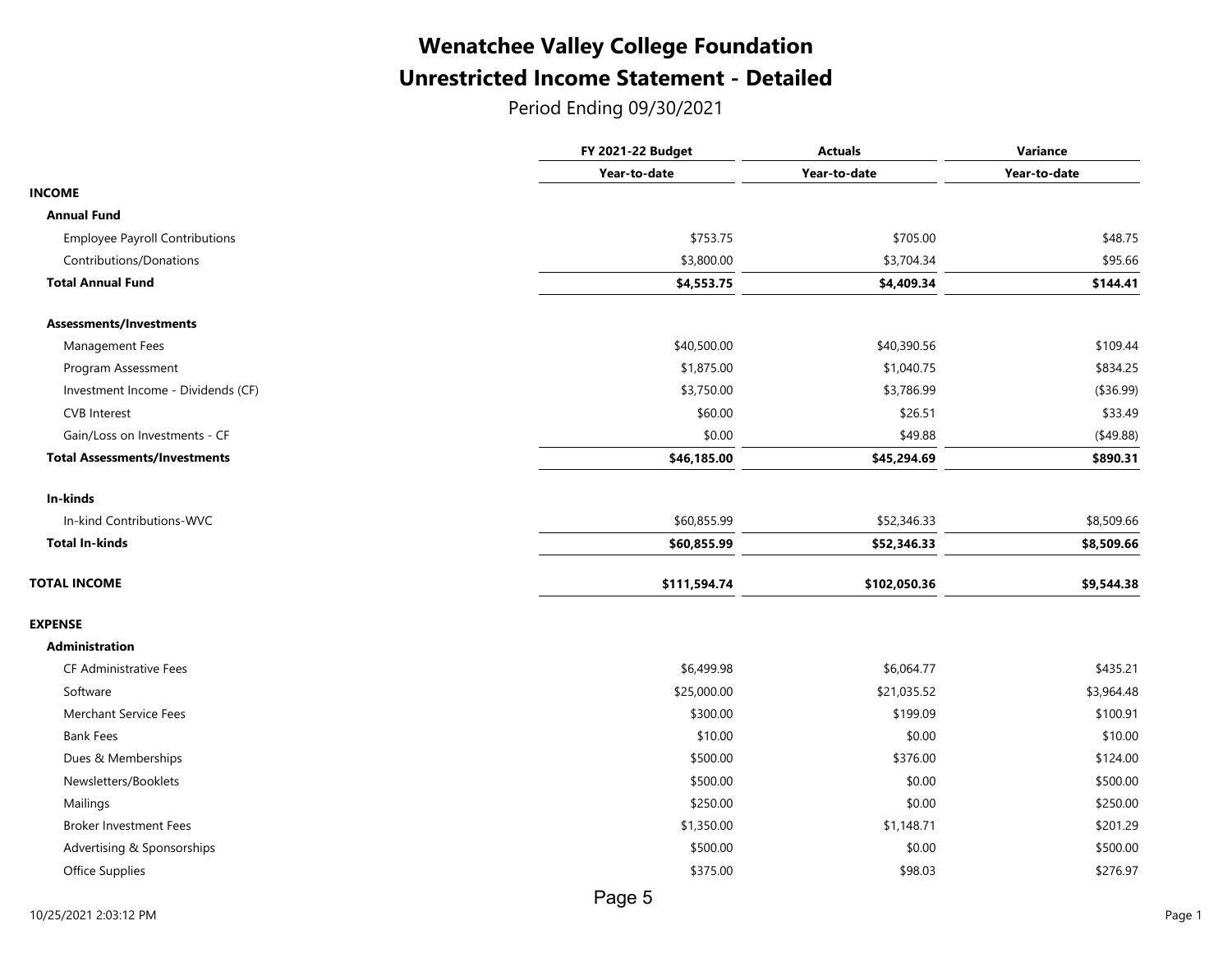### Unrestricted Income Statement - Detailed Wenatchee Valley College Foundation

Period Ending 09/30/2021

|                                       | <b>FY 2021-22 Budget</b> | <b>Actuals</b> | Variance     |
|---------------------------------------|--------------------------|----------------|--------------|
|                                       | Year-to-date             | Year-to-date   | Year-to-date |
| <b>INCOME</b>                         |                          |                |              |
| <b>Annual Fund</b>                    |                          |                |              |
| <b>Employee Payroll Contributions</b> | \$753.75                 | \$705.00       | \$48.75      |
| Contributions/Donations               | \$3,800.00               | \$3,704.34     | \$95.66      |
| <b>Total Annual Fund</b>              | \$4,553.75               | \$4,409.34     | \$144.41     |
| Assessments/Investments               |                          |                |              |
| Management Fees                       | \$40,500.00              | \$40,390.56    | \$109.44     |
| Program Assessment                    | \$1,875.00               | \$1,040.75     | \$834.25     |
| Investment Income - Dividends (CF)    | \$3,750.00               | \$3,786.99     | (\$36.99)    |
| <b>CVB</b> Interest                   | \$60.00                  | \$26.51        | \$33.49      |
| Gain/Loss on Investments - CF         | \$0.00                   | \$49.88        | (\$49.88)    |
| <b>Total Assessments/Investments</b>  | \$46,185.00              | \$45,294.69    | \$890.31     |
| In-kinds                              |                          |                |              |
| In-kind Contributions-WVC             | \$60,855.99              | \$52,346.33    | \$8,509.66   |
| <b>Total In-kinds</b>                 | \$60,855.99              | \$52,346.33    | \$8,509.66   |
| <b>TOTAL INCOME</b>                   | \$111,594.74             | \$102,050.36   | \$9,544.38   |
| <b>EXPENSE</b>                        |                          |                |              |
| <b>Administration</b>                 |                          |                |              |
| <b>CF Administrative Fees</b>         | \$6,499.98               | \$6,064.77     | \$435.21     |
| Software                              | \$25,000.00              | \$21,035.52    | \$3,964.48   |
| <b>Merchant Service Fees</b>          | \$300.00                 | \$199.09       | \$100.91     |
| <b>Bank Fees</b>                      | \$10.00                  | \$0.00         | \$10.00      |
| Dues & Memberships                    | \$500.00                 | \$376.00       | \$124.00     |
| Newsletters/Booklets                  | \$500.00                 | \$0.00         | \$500.00     |
| Mailings                              | \$250.00                 | \$0.00         | \$250.00     |
| <b>Broker Investment Fees</b>         | \$1,350.00               | \$1,148.71     | \$201.29     |
| Advertising & Sponsorships            | \$500.00                 | \$0.00         | \$500.00     |
| Office Supplies                       | \$375.00                 | \$98.03        | \$276.97     |
|                                       |                          |                |              |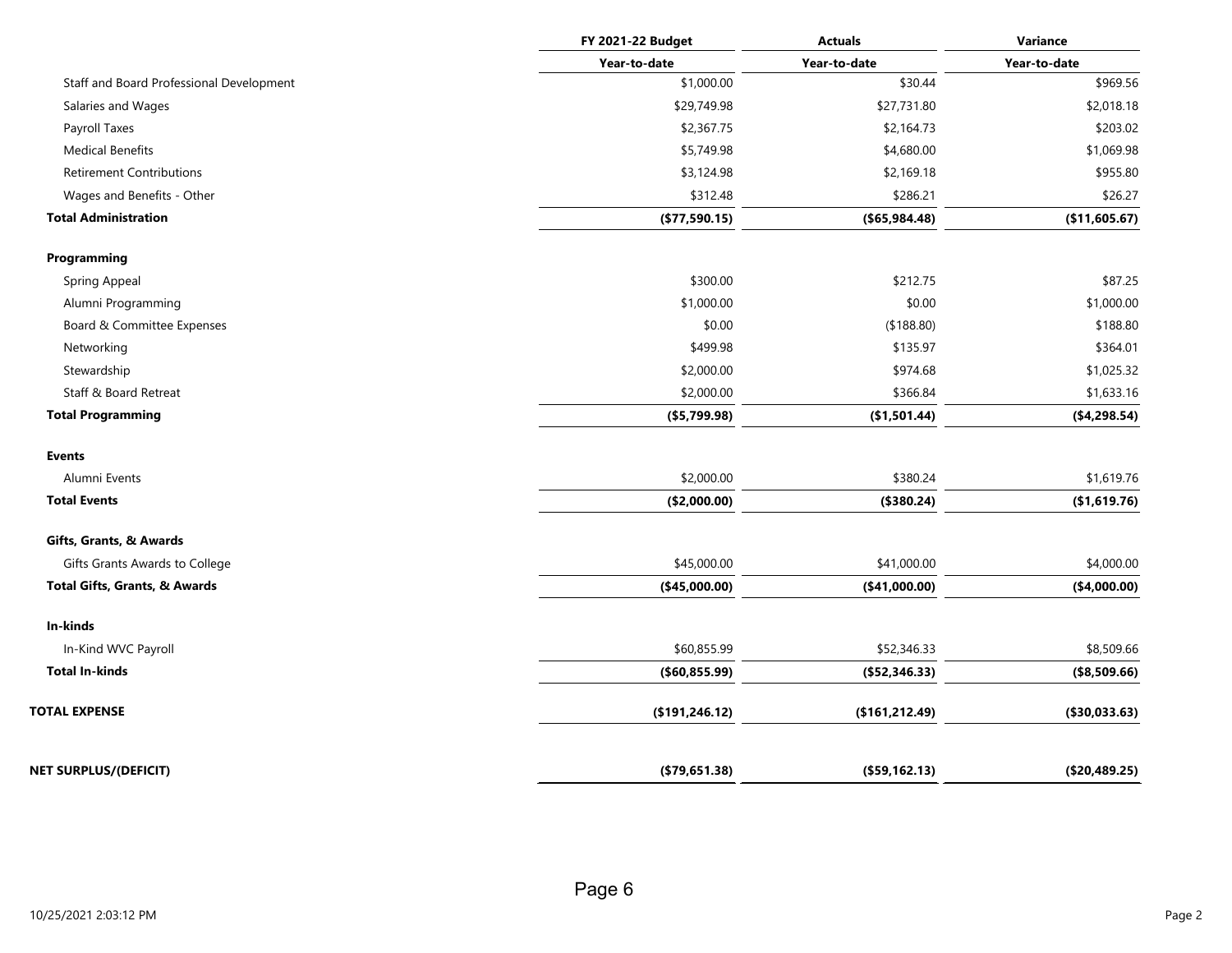|                                          | FY 2021-22 Budget | <b>Actuals</b>  | Variance      |
|------------------------------------------|-------------------|-----------------|---------------|
|                                          | Year-to-date      | Year-to-date    | Year-to-date  |
| Staff and Board Professional Development | \$1,000.00        | \$30.44         | \$969.56      |
| Salaries and Wages                       | \$29,749.98       | \$27,731.80     | \$2,018.18    |
| Payroll Taxes                            | \$2,367.75        | \$2,164.73      | \$203.02      |
| <b>Medical Benefits</b>                  | \$5,749.98        | \$4,680.00      | \$1,069.98    |
| <b>Retirement Contributions</b>          | \$3,124.98        | \$2,169.18      | \$955.80      |
| Wages and Benefits - Other               | \$312.48          | \$286.21        | \$26.27       |
| <b>Total Administration</b>              | (\$77,590.15)     | ( \$65, 984.48) | (\$11,605.67) |
| Programming                              |                   |                 |               |
| Spring Appeal                            | \$300.00          | \$212.75        | \$87.25       |
| Alumni Programming                       | \$1,000.00        | \$0.00          | \$1,000.00    |
| Board & Committee Expenses               | \$0.00            | (\$188.80)      | \$188.80      |
| Networking                               | \$499.98          | \$135.97        | \$364.01      |
| Stewardship                              | \$2,000.00        | \$974.68        | \$1,025.32    |
| Staff & Board Retreat                    | \$2,000.00        | \$366.84        | \$1,633.16    |
| <b>Total Programming</b>                 | ( \$5,799.98)     | (\$1,501.44)    | ( \$4,298.54) |
| <b>Events</b>                            |                   |                 |               |
| Alumni Events                            | \$2,000.00        | \$380.24        | \$1,619.76    |
| <b>Total Events</b>                      | (\$2,000.00)      | (\$380.24)      | (\$1,619.76)  |
| Gifts, Grants, & Awards                  |                   |                 |               |
| Gifts Grants Awards to College           | \$45,000.00       | \$41,000.00     | \$4,000.00    |
| Total Gifts, Grants, & Awards            | (\$45,000.00)     | (\$41,000.00)   | ( \$4,000.00) |
| In-kinds                                 |                   |                 |               |
| In-Kind WVC Payroll                      | \$60,855.99       | \$52,346.33     | \$8,509.66    |
| <b>Total In-kinds</b>                    | ( \$60, 855.99)   | (\$52,346.33)   | (\$8,509.66)  |
| <b>TOTAL EXPENSE</b>                     | (\$191, 246.12)   | (\$161, 212.49) | (\$30,033.63) |
| NET SURPLUS/(DEFICIT)                    | (\$79,651.38)     | (\$59,162.13)   | (\$20,489.25) |
|                                          |                   |                 |               |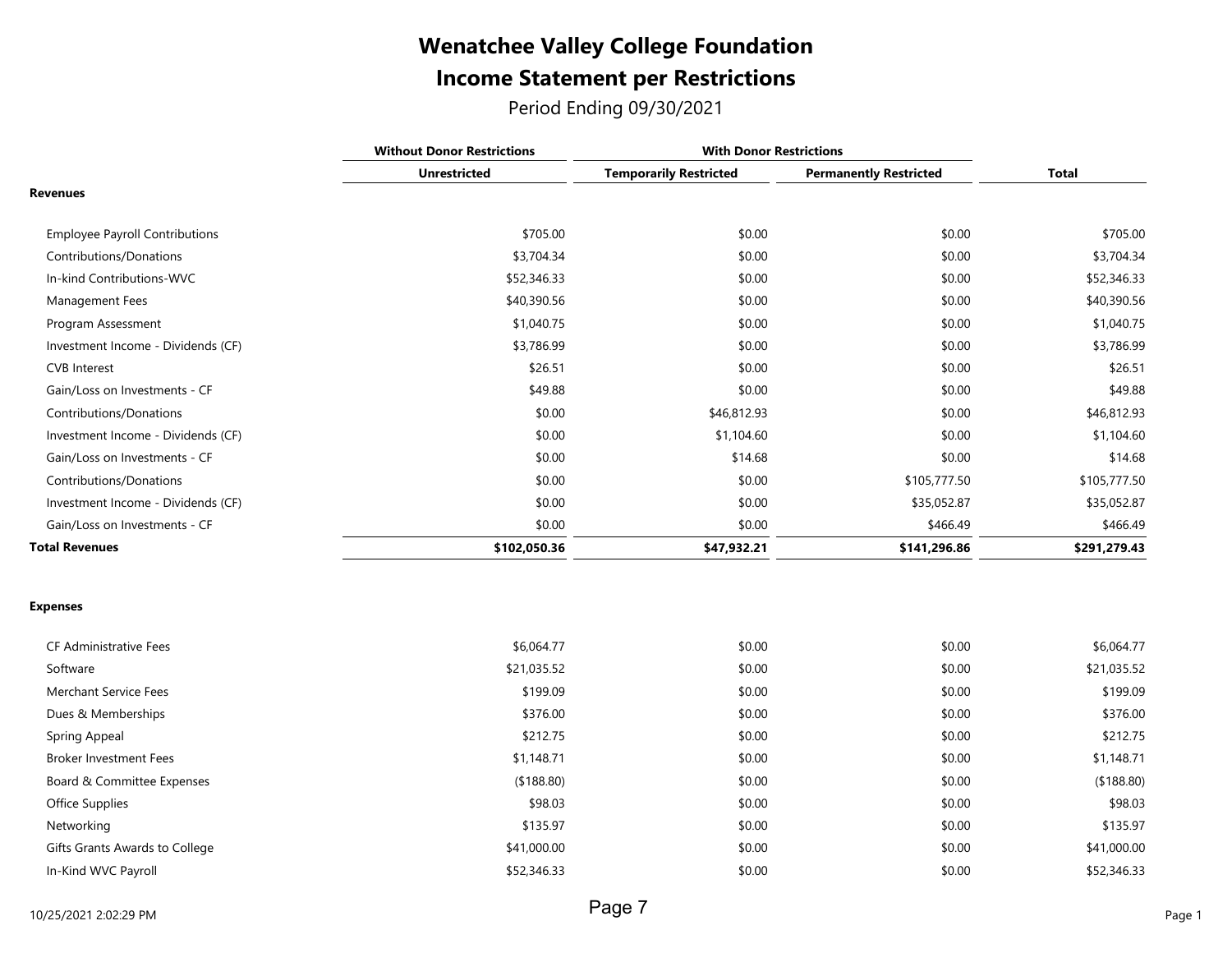### Income Statement per Restrictions Wenatchee Valley College Foundation

Period Ending 09/30/2021

|                                       | <b>Without Donor Restrictions</b> | <b>With Donor Restrictions</b> |                               |              |
|---------------------------------------|-----------------------------------|--------------------------------|-------------------------------|--------------|
|                                       | <b>Unrestricted</b>               | <b>Temporarily Restricted</b>  | <b>Permanently Restricted</b> | <b>Total</b> |
| <b>Revenues</b>                       |                                   |                                |                               |              |
| <b>Employee Payroll Contributions</b> | \$705.00                          | \$0.00                         | \$0.00                        | \$705.00     |
| Contributions/Donations               | \$3,704.34                        | \$0.00                         | \$0.00                        | \$3,704.34   |
| In-kind Contributions-WVC             | \$52,346.33                       | \$0.00                         | \$0.00                        | \$52,346.33  |
| Management Fees                       | \$40,390.56                       | \$0.00                         | \$0.00                        | \$40,390.56  |
| Program Assessment                    | \$1,040.75                        | \$0.00                         | \$0.00                        | \$1,040.75   |
| Investment Income - Dividends (CF)    | \$3,786.99                        | \$0.00                         | \$0.00                        | \$3,786.99   |
| <b>CVB</b> Interest                   | \$26.51                           | \$0.00                         | \$0.00                        | \$26.51      |
| Gain/Loss on Investments - CF         | \$49.88                           | \$0.00                         | \$0.00                        | \$49.88      |
| Contributions/Donations               | \$0.00                            | \$46,812.93                    | \$0.00                        | \$46,812.93  |
| Investment Income - Dividends (CF)    | \$0.00                            | \$1,104.60                     | \$0.00                        | \$1,104.60   |
| Gain/Loss on Investments - CF         | \$0.00                            | \$14.68                        | \$0.00                        | \$14.68      |
| Contributions/Donations               | \$0.00                            | \$0.00                         | \$105,777.50                  | \$105,777.50 |
| Investment Income - Dividends (CF)    | \$0.00                            | \$0.00                         | \$35,052.87                   | \$35,052.87  |
| Gain/Loss on Investments - CF         | \$0.00                            | \$0.00                         | \$466.49                      | \$466.49     |
| <b>Total Revenues</b>                 | \$102,050.36                      | \$47,932.21                    | \$141,296.86                  | \$291,279.43 |

#### Expenses

| <b>CF Administrative Fees</b>  | \$6,064.77  | \$0.00 | \$0.00 | \$6,064.77  |
|--------------------------------|-------------|--------|--------|-------------|
| Software                       | \$21,035.52 | \$0.00 | \$0.00 | \$21,035.52 |
| Merchant Service Fees          | \$199.09    | \$0.00 | \$0.00 | \$199.09    |
| Dues & Memberships             | \$376.00    | \$0.00 | \$0.00 | \$376.00    |
| Spring Appeal                  | \$212.75    | \$0.00 | \$0.00 | \$212.75    |
| <b>Broker Investment Fees</b>  | \$1,148.71  | \$0.00 | \$0.00 | \$1,148.71  |
| Board & Committee Expenses     | (\$188.80)  | \$0.00 | \$0.00 | (\$188.80)  |
| Office Supplies                | \$98.03     | \$0.00 | \$0.00 | \$98.03     |
| Networking                     | \$135.97    | \$0.00 | \$0.00 | \$135.97    |
| Gifts Grants Awards to College | \$41,000.00 | \$0.00 | \$0.00 | \$41,000.00 |
| In-Kind WVC Payroll            | \$52,346.33 | \$0.00 | \$0.00 | \$52,346.33 |
|                                |             |        |        |             |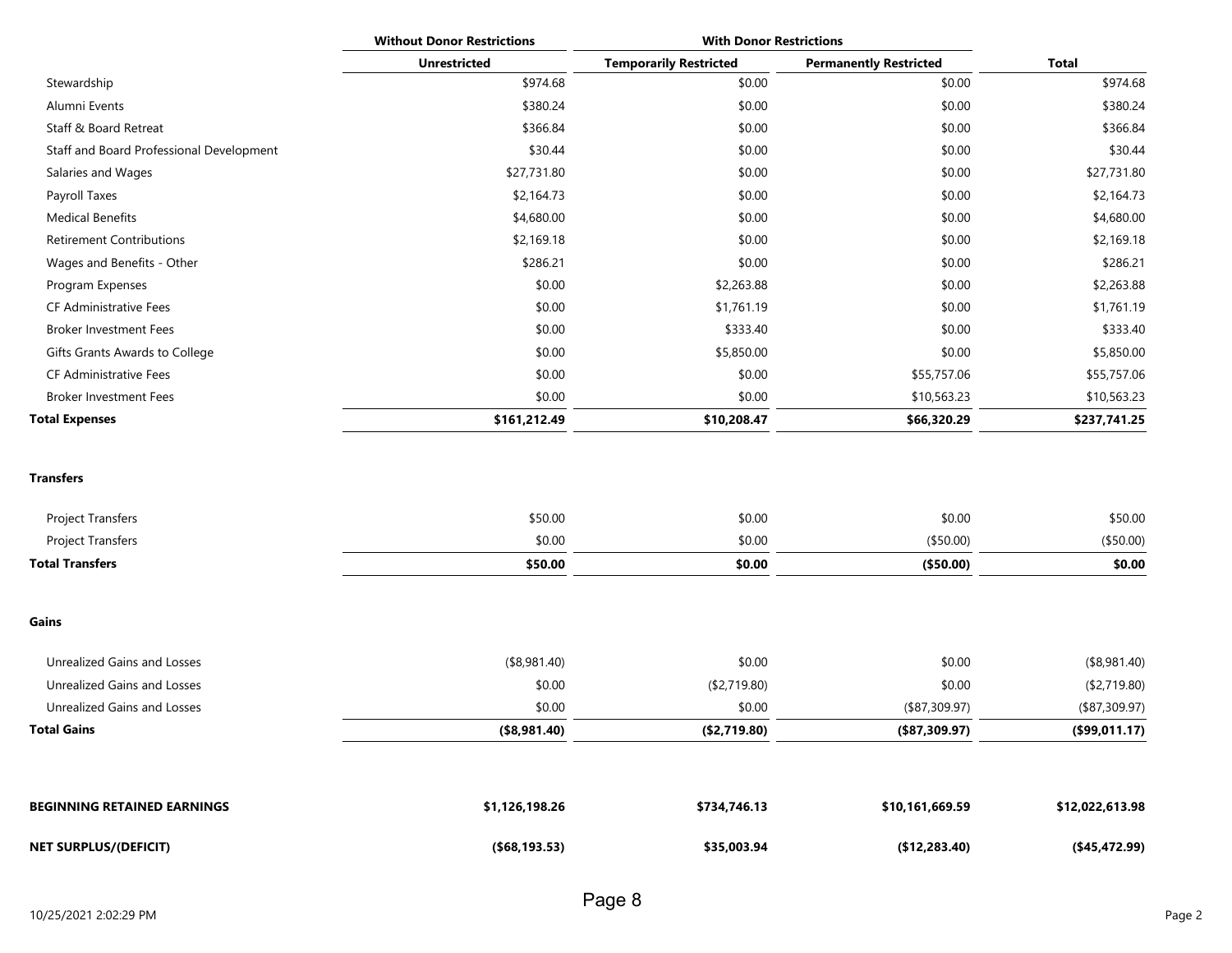|                                          | <b>Without Donor Restrictions</b> | <b>With Donor Restrictions</b> |                               |              |
|------------------------------------------|-----------------------------------|--------------------------------|-------------------------------|--------------|
|                                          | <b>Unrestricted</b>               | <b>Temporarily Restricted</b>  | <b>Permanently Restricted</b> | Total        |
| Stewardship                              | \$974.68                          | \$0.00                         | \$0.00                        | \$974.68     |
| Alumni Events                            | \$380.24                          | \$0.00                         | \$0.00                        | \$380.24     |
| Staff & Board Retreat                    | \$366.84                          | \$0.00                         | \$0.00                        | \$366.84     |
| Staff and Board Professional Development | \$30.44                           | \$0.00                         | \$0.00                        | \$30.44      |
| Salaries and Wages                       | \$27,731.80                       | \$0.00                         | \$0.00                        | \$27,731.80  |
| Payroll Taxes                            | \$2,164.73                        | \$0.00                         | \$0.00                        | \$2,164.73   |
| <b>Medical Benefits</b>                  | \$4,680.00                        | \$0.00                         | \$0.00                        | \$4,680.00   |
| <b>Retirement Contributions</b>          | \$2,169.18                        | \$0.00                         | \$0.00                        | \$2,169.18   |
| Wages and Benefits - Other               | \$286.21                          | \$0.00                         | \$0.00                        | \$286.21     |
| Program Expenses                         | \$0.00                            | \$2,263.88                     | \$0.00                        | \$2,263.88   |
| <b>CF Administrative Fees</b>            | \$0.00                            | \$1,761.19                     | \$0.00                        | \$1,761.19   |
| <b>Broker Investment Fees</b>            | \$0.00                            | \$333.40                       | \$0.00                        | \$333.40     |
| Gifts Grants Awards to College           | \$0.00                            | \$5,850.00                     | \$0.00                        | \$5,850.00   |
| <b>CF Administrative Fees</b>            | \$0.00                            | \$0.00                         | \$55,757.06                   | \$55,757.06  |
| <b>Broker Investment Fees</b>            | \$0.00                            | \$0.00                         | \$10,563.23                   | \$10,563.23  |
| <b>Total Expenses</b>                    | \$161,212.49                      | \$10,208.47                    | \$66,320.29                   | \$237,741.25 |

Transfers

| Project Transfers        | \$50.00 | \$0.00 | \$0.00     | \$50.00   |
|--------------------------|---------|--------|------------|-----------|
| <b>Project Transfers</b> | \$0.00  | \$0.00 | (\$50.00)  | (\$50.00) |
| <b>Total Transfers</b>   | \$50.00 | \$0.00 | ( \$50.00) | \$0.00    |

Gains

| Unrealized Gains and Losses | (\$8,981.40)    | \$0.00        | \$0.00           | (\$8,981.40)  |
|-----------------------------|-----------------|---------------|------------------|---------------|
| Unrealized Gains and Losses | \$0.00          | (\$2,719.80)  | \$0.00           | (\$2,719.80)  |
| Unrealized Gains and Losses | \$0.00          | \$0.00        | $($ \$87,309.97) | (\$87,309.97) |
| Total Gains                 | $($ \$8,981.40) | ( \$2,719.80) | $($ \$87,309.97) | (\$99,011.17) |
|                             |                 |               |                  |               |

| <b>BEGINNING RETAINED EARNINGS</b> | \$1,126,198.26  | \$734,746.13 | \$10,161,669.59 | \$12,022,613.98 |
|------------------------------------|-----------------|--------------|-----------------|-----------------|
| <b>NET SURPLUS/(DEFICIT)</b>       | ( \$68, 193.53) | \$35,003.94  | (\$12,283.40)   | (\$45,472.99)   |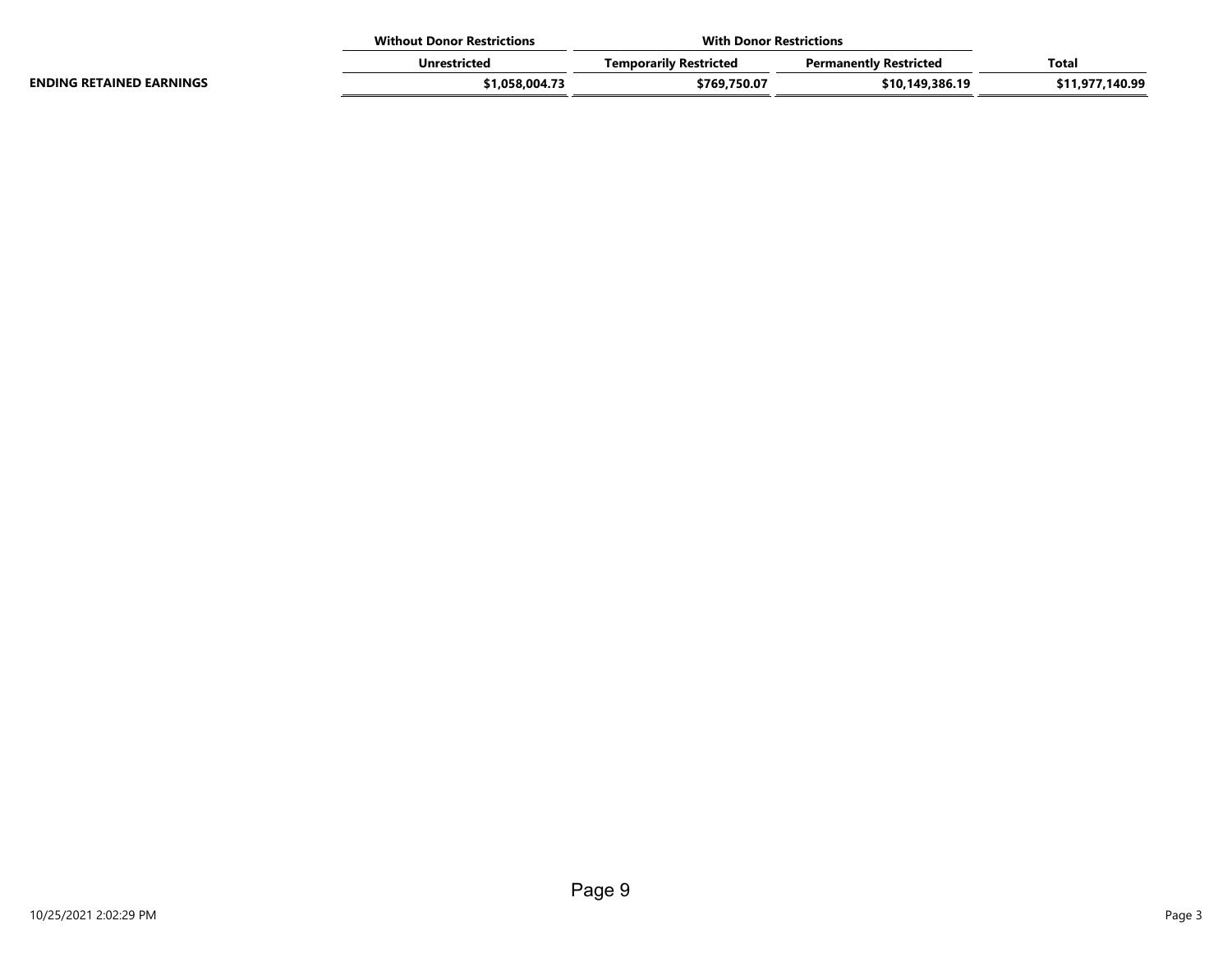|                                 | <b>Without Donor Restrictions</b> |                        | <b>With Donor Restrictions</b> |                 |
|---------------------------------|-----------------------------------|------------------------|--------------------------------|-----------------|
|                                 | Unrestricted                      | Temporarily Restricted | <b>Permanently Restricted</b>  | <b>Total</b>    |
| <b>ENDING RETAINED EARNINGS</b> | \$1,058,004.73                    | \$769.750.07           | \$10.149.386.19                | \$11,977,140.99 |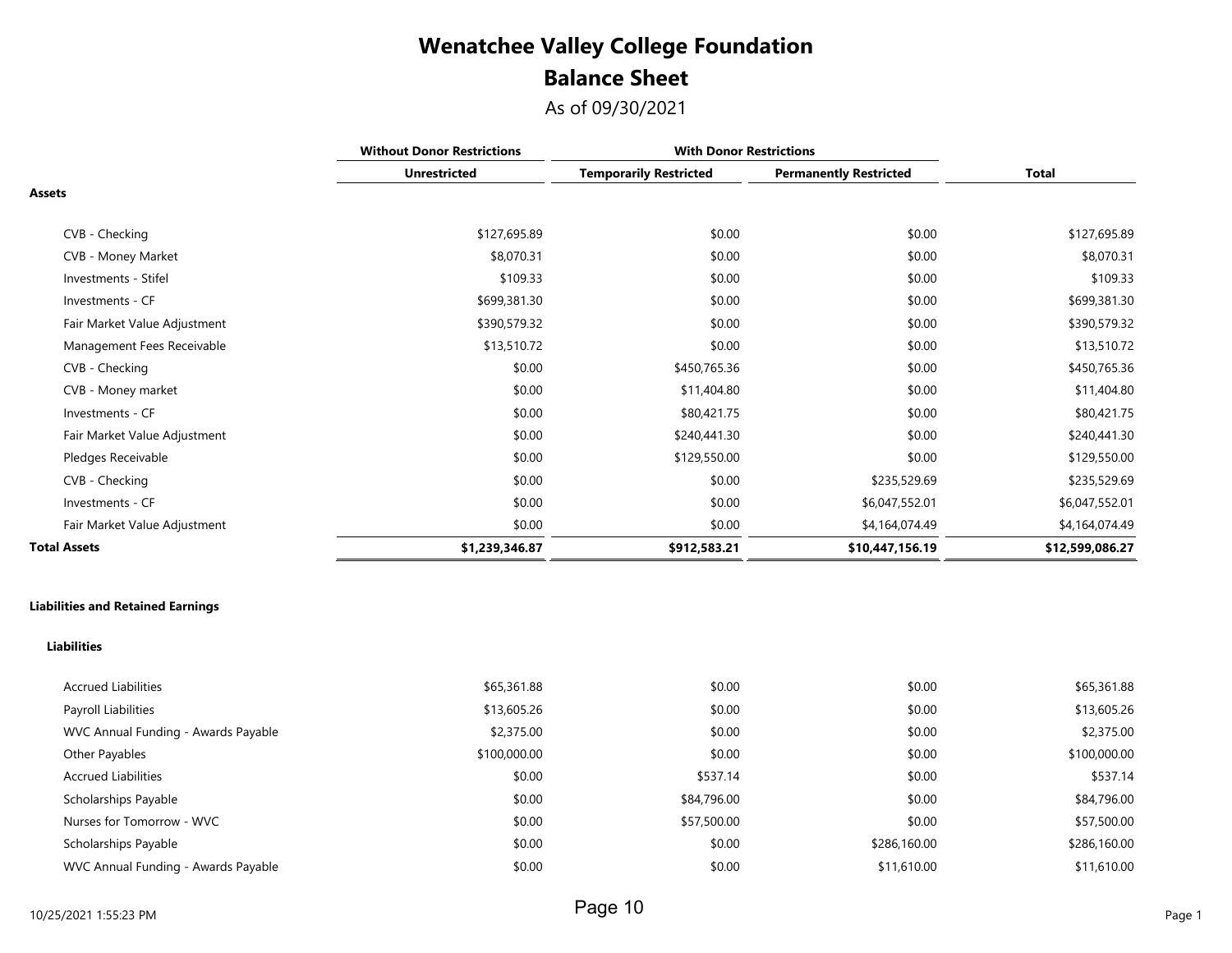## Balance Sheet Wenatchee Valley College Foundation

As of 09/30/2021

|                              | <b>Without Donor Restrictions</b> |                               | <b>With Donor Restrictions</b> |                 |
|------------------------------|-----------------------------------|-------------------------------|--------------------------------|-----------------|
|                              | <b>Unrestricted</b>               | <b>Temporarily Restricted</b> | <b>Permanently Restricted</b>  | Total           |
| <b>Assets</b>                |                                   |                               |                                |                 |
| CVB - Checking               | \$127,695.89                      | \$0.00                        | \$0.00                         | \$127,695.89    |
| CVB - Money Market           | \$8,070.31                        | \$0.00                        | \$0.00                         | \$8,070.31      |
| Investments - Stifel         | \$109.33                          | \$0.00                        | \$0.00                         | \$109.33        |
| Investments - CF             | \$699,381.30                      | \$0.00                        | \$0.00                         | \$699,381.30    |
| Fair Market Value Adjustment | \$390,579.32                      | \$0.00                        | \$0.00                         | \$390,579.32    |
| Management Fees Receivable   | \$13,510.72                       | \$0.00                        | \$0.00                         | \$13,510.72     |
| CVB - Checking               | \$0.00                            | \$450,765.36                  | \$0.00                         | \$450,765.36    |
| CVB - Money market           | \$0.00                            | \$11,404.80                   | \$0.00                         | \$11,404.80     |
| Investments - CF             | \$0.00                            | \$80,421.75                   | \$0.00                         | \$80,421.75     |
| Fair Market Value Adjustment | \$0.00                            | \$240,441.30                  | \$0.00                         | \$240,441.30    |
| Pledges Receivable           | \$0.00                            | \$129,550.00                  | \$0.00                         | \$129,550.00    |
| CVB - Checking               | \$0.00                            | \$0.00                        | \$235,529.69                   | \$235,529.69    |
| Investments - CF             | \$0.00                            | \$0.00                        | \$6,047,552.01                 | \$6,047,552.01  |
| Fair Market Value Adjustment | \$0.00                            | \$0.00                        | \$4,164,074.49                 | \$4,164,074.49  |
| <b>Total Assets</b>          | \$1,239,346.87                    | \$912,583.21                  | \$10,447,156.19                | \$12,599,086.27 |

#### Liabilities and Retained Earnings

#### Liabilities

| <b>Accrued Liabilities</b>          | \$65,361.88  | \$0.00      | \$0.00       | \$65,361.88  |
|-------------------------------------|--------------|-------------|--------------|--------------|
| Payroll Liabilities                 | \$13,605.26  | \$0.00      | \$0.00       | \$13,605.26  |
| WVC Annual Funding - Awards Payable | \$2,375.00   | \$0.00      | \$0.00       | \$2,375.00   |
| Other Payables                      | \$100,000.00 | \$0.00      | \$0.00       | \$100,000.00 |
| <b>Accrued Liabilities</b>          | \$0.00       | \$537.14    | \$0.00       | \$537.14     |
| Scholarships Payable                | \$0.00       | \$84,796.00 | \$0.00       | \$84,796.00  |
| Nurses for Tomorrow - WVC           | \$0.00       | \$57,500.00 | \$0.00       | \$57,500.00  |
| Scholarships Payable                | \$0.00       | \$0.00      | \$286,160.00 | \$286,160.00 |
| WVC Annual Funding - Awards Payable | \$0.00       | \$0.00      | \$11,610.00  | \$11,610.00  |
|                                     |              |             |              |              |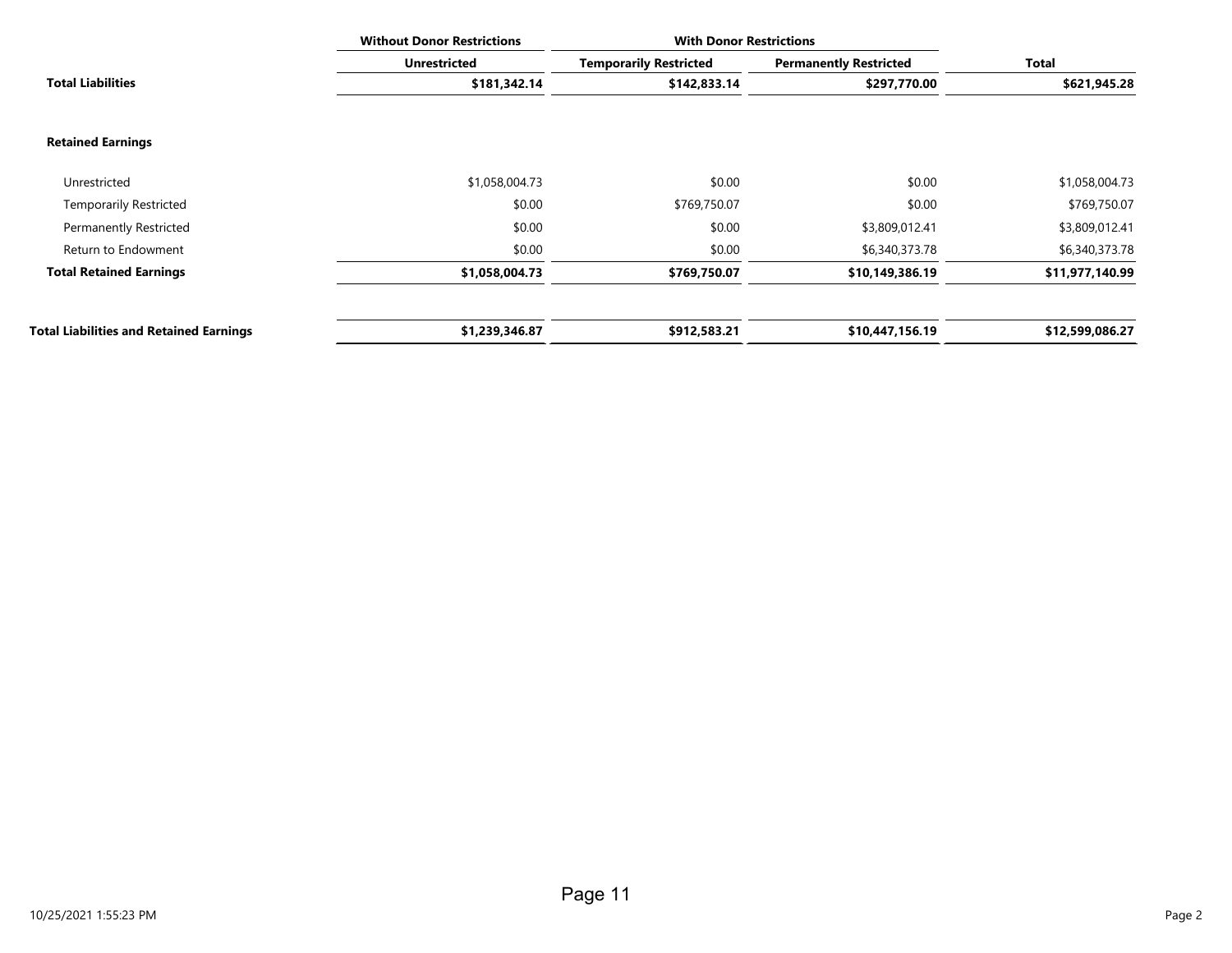|                                                | <b>Without Donor Restrictions</b> | <b>With Donor Restrictions</b> |                               |                 |
|------------------------------------------------|-----------------------------------|--------------------------------|-------------------------------|-----------------|
|                                                | <b>Unrestricted</b>               | <b>Temporarily Restricted</b>  | <b>Permanently Restricted</b> | Total           |
| <b>Total Liabilities</b>                       | \$181,342.14                      | \$142,833.14                   | \$297,770.00                  | \$621,945.28    |
| <b>Retained Earnings</b>                       |                                   |                                |                               |                 |
| Unrestricted                                   | \$1,058,004.73                    | \$0.00                         | \$0.00                        | \$1,058,004.73  |
| <b>Temporarily Restricted</b>                  | \$0.00                            | \$769,750.07                   | \$0.00                        | \$769,750.07    |
| <b>Permanently Restricted</b>                  | \$0.00                            | \$0.00                         | \$3,809,012.41                | \$3,809,012.41  |
| Return to Endowment                            | \$0.00                            | \$0.00                         | \$6,340,373.78                | \$6,340,373.78  |
| <b>Total Retained Earnings</b>                 | \$1,058,004.73                    | \$769,750.07                   | \$10,149,386.19               | \$11,977,140.99 |
| <b>Total Liabilities and Retained Earnings</b> | \$1,239,346.87                    | \$912,583.21                   | \$10,447,156.19               | \$12,599,086.27 |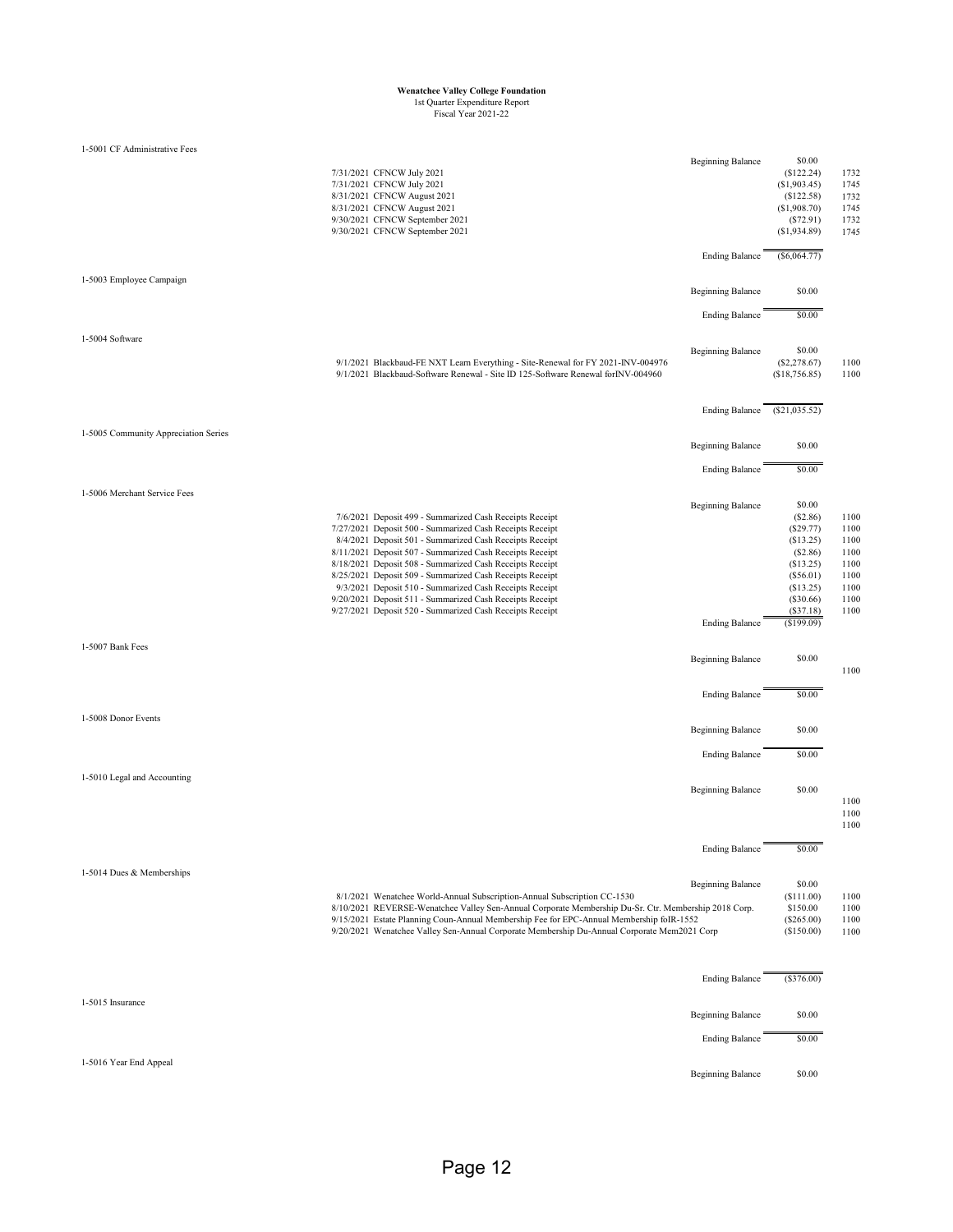# **Wenatchee Valley College Foundation** 1st Quarter Expenditure Report Fiscal Year 2021-22

| 1-5001 CF Administrative Fees        |                                                                                                                                                                                                                                                                                                                                                                                                                                                                                                                                                       |                          |                                                                                                                             |                                                                      |
|--------------------------------------|-------------------------------------------------------------------------------------------------------------------------------------------------------------------------------------------------------------------------------------------------------------------------------------------------------------------------------------------------------------------------------------------------------------------------------------------------------------------------------------------------------------------------------------------------------|--------------------------|-----------------------------------------------------------------------------------------------------------------------------|----------------------------------------------------------------------|
|                                      | 7/31/2021 CFNCW July 2021<br>7/31/2021 CFNCW July 2021<br>8/31/2021 CFNCW August 2021<br>8/31/2021 CFNCW August 2021<br>9/30/2021 CFNCW September 2021<br>9/30/2021 CFNCW September 2021                                                                                                                                                                                                                                                                                                                                                              | <b>Beginning Balance</b> | \$0.00<br>(\$122.24)<br>(\$1,903.45)<br>(\$122.58)<br>(\$1,908.70)<br>(S72.91)<br>(\$1,934.89)                              | 1732<br>1745<br>1732<br>1745<br>1732<br>1745                         |
|                                      |                                                                                                                                                                                                                                                                                                                                                                                                                                                                                                                                                       | <b>Ending Balance</b>    | $($ \$6,064.77 $)$                                                                                                          |                                                                      |
| 1-5003 Employee Campaign             |                                                                                                                                                                                                                                                                                                                                                                                                                                                                                                                                                       | <b>Beginning Balance</b> | \$0.00                                                                                                                      |                                                                      |
|                                      |                                                                                                                                                                                                                                                                                                                                                                                                                                                                                                                                                       | <b>Ending Balance</b>    | \$0.00                                                                                                                      |                                                                      |
| 1-5004 Software                      | 9/1/2021 Blackbaud-FE NXT Learn Everything - Site-Renewal for FY 2021-INV-004976<br>9/1/2021 Blackbaud-Software Renewal - Site ID 125-Software Renewal for INV-004960                                                                                                                                                                                                                                                                                                                                                                                 | <b>Beginning Balance</b> | \$0.00<br>(\$2,278.67)<br>(\$18,756.85)                                                                                     | 1100<br>1100                                                         |
|                                      |                                                                                                                                                                                                                                                                                                                                                                                                                                                                                                                                                       | <b>Ending Balance</b>    | (S21, 035.52)                                                                                                               |                                                                      |
| 1-5005 Community Appreciation Series |                                                                                                                                                                                                                                                                                                                                                                                                                                                                                                                                                       | <b>Beginning Balance</b> | \$0.00                                                                                                                      |                                                                      |
|                                      |                                                                                                                                                                                                                                                                                                                                                                                                                                                                                                                                                       | <b>Ending Balance</b>    | \$0.00                                                                                                                      |                                                                      |
| 1-5006 Merchant Service Fees         | 7/6/2021 Deposit 499 - Summarized Cash Receipts Receipt<br>7/27/2021 Deposit 500 - Summarized Cash Receipts Receipt<br>8/4/2021 Deposit 501 - Summarized Cash Receipts Receipt<br>8/11/2021 Deposit 507 - Summarized Cash Receipts Receipt<br>8/18/2021 Deposit 508 - Summarized Cash Receipts Receipt<br>8/25/2021 Deposit 509 - Summarized Cash Receipts Receipt<br>9/3/2021 Deposit 510 - Summarized Cash Receipts Receipt<br>9/20/2021 Deposit 511 - Summarized Cash Receipts Receipt<br>9/27/2021 Deposit 520 - Summarized Cash Receipts Receipt | <b>Beginning Balance</b> | \$0.00<br>(\$2.86)<br>(\$29.77)<br>(\$13.25)<br>$(\$2.86)$<br>(\$13.25)<br>(\$56.01)<br>(\$13.25)<br>(\$30.66)<br>(\$37.18) | 1100<br>1100<br>1100<br>1100<br>1100<br>1100<br>1100<br>1100<br>1100 |
|                                      |                                                                                                                                                                                                                                                                                                                                                                                                                                                                                                                                                       | <b>Ending Balance</b>    | (\$199.09)                                                                                                                  |                                                                      |
| 1-5007 Bank Fees                     |                                                                                                                                                                                                                                                                                                                                                                                                                                                                                                                                                       | <b>Beginning Balance</b> | \$0.00                                                                                                                      | 1100                                                                 |
|                                      |                                                                                                                                                                                                                                                                                                                                                                                                                                                                                                                                                       | <b>Ending Balance</b>    | \$0.00                                                                                                                      |                                                                      |
| 1-5008 Donor Events                  |                                                                                                                                                                                                                                                                                                                                                                                                                                                                                                                                                       | <b>Beginning Balance</b> | \$0.00                                                                                                                      |                                                                      |
|                                      |                                                                                                                                                                                                                                                                                                                                                                                                                                                                                                                                                       | <b>Ending Balance</b>    | \$0.00                                                                                                                      |                                                                      |
| 1-5010 Legal and Accounting          |                                                                                                                                                                                                                                                                                                                                                                                                                                                                                                                                                       | <b>Beginning Balance</b> | \$0.00                                                                                                                      | 1100<br>1100<br>1100                                                 |
|                                      |                                                                                                                                                                                                                                                                                                                                                                                                                                                                                                                                                       | <b>Ending Balance</b>    | \$0.00                                                                                                                      |                                                                      |
| 1-5014 Dues & Memberships            | 8/1/2021 Wenatchee World-Annual Subscription-Annual Subscription CC-1530<br>8/10/2021 REVERSE-Wenatchee Valley Sen-Annual Corporate Membership Du-Sr. Ctr. Membership 2018 Corp.<br>9/15/2021 Estate Planning Coun-Annual Membership Fee for EPC-Annual Membership foIR-1552<br>9/20/2021 Wenatchee Valley Sen-Annual Corporate Membership Du-Annual Corporate Mem2021 Corp                                                                                                                                                                           | Beginning Balance        | \$0.00<br>(\$111.00)<br>\$150.00<br>$(\$265.00)$<br>(\$150.00)                                                              | 1100<br>1100<br>1100<br>1100                                         |
|                                      |                                                                                                                                                                                                                                                                                                                                                                                                                                                                                                                                                       | <b>Ending Balance</b>    | (\$376.00)                                                                                                                  |                                                                      |
| 1-5015 Insurance                     |                                                                                                                                                                                                                                                                                                                                                                                                                                                                                                                                                       | <b>Beginning Balance</b> | \$0.00                                                                                                                      |                                                                      |
|                                      |                                                                                                                                                                                                                                                                                                                                                                                                                                                                                                                                                       | <b>Ending Balance</b>    | \$0.00                                                                                                                      |                                                                      |
| 1-5016 Year End Appeal               |                                                                                                                                                                                                                                                                                                                                                                                                                                                                                                                                                       | <b>Beginning Balance</b> | \$0.00                                                                                                                      |                                                                      |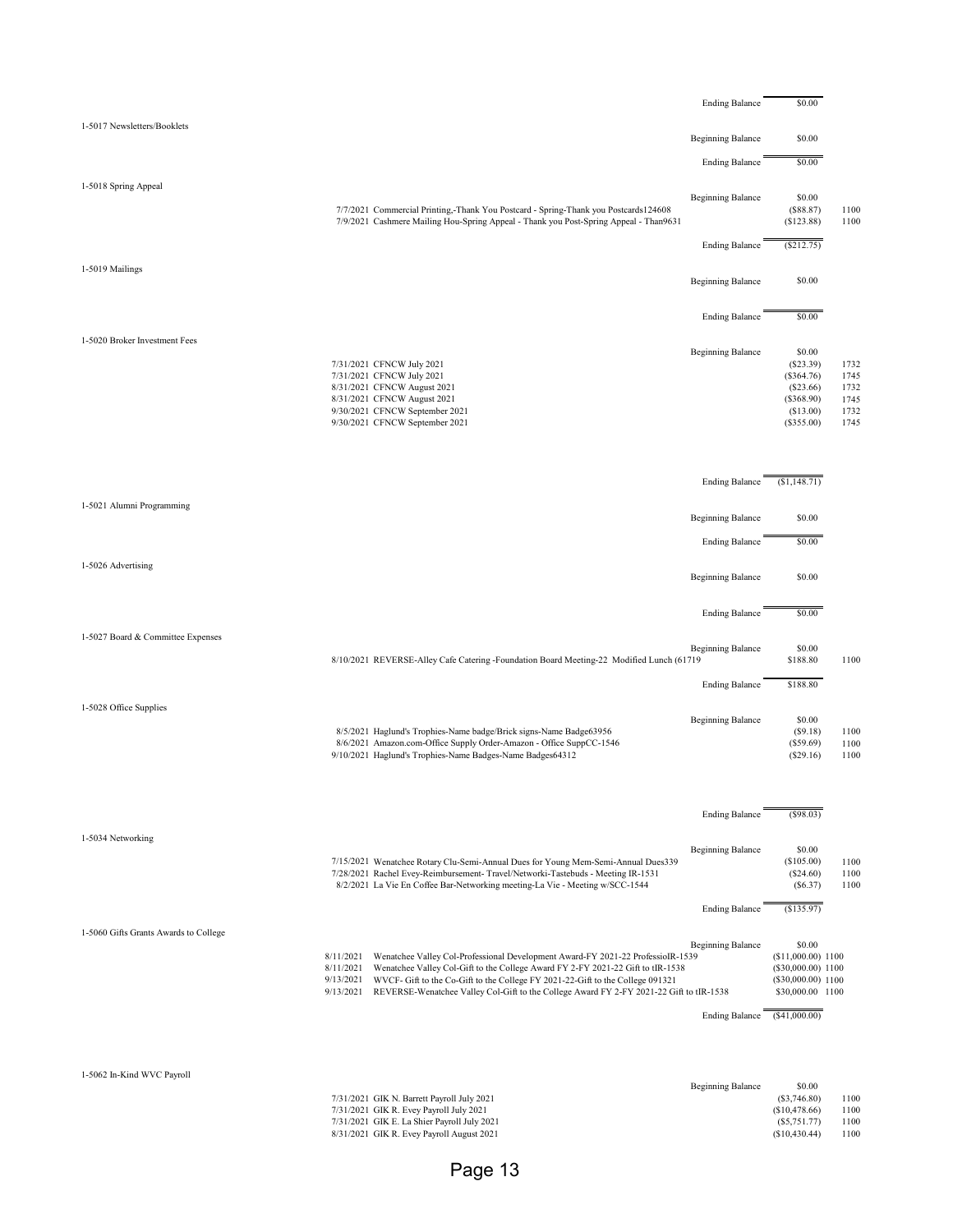|                                       |                                                                                                                                                                                                                                                                                                                                                                                                  | <b>Ending Balance</b>                             | \$0.00                                                                                                        |                                              |
|---------------------------------------|--------------------------------------------------------------------------------------------------------------------------------------------------------------------------------------------------------------------------------------------------------------------------------------------------------------------------------------------------------------------------------------------------|---------------------------------------------------|---------------------------------------------------------------------------------------------------------------|----------------------------------------------|
| 1-5017 Newsletters/Booklets           |                                                                                                                                                                                                                                                                                                                                                                                                  |                                                   |                                                                                                               |                                              |
|                                       |                                                                                                                                                                                                                                                                                                                                                                                                  | <b>Beginning Balance</b>                          | \$0.00                                                                                                        |                                              |
|                                       |                                                                                                                                                                                                                                                                                                                                                                                                  | <b>Ending Balance</b>                             | \$0.00                                                                                                        |                                              |
| 1-5018 Spring Appeal                  | 7/7/2021 Commercial Printing,-Thank You Postcard - Spring-Thank you Postcards124608<br>7/9/2021 Cashmere Mailing Hou-Spring Appeal - Thank you Post-Spring Appeal - Than9631                                                                                                                                                                                                                     | <b>Beginning Balance</b>                          | \$0.00<br>(\$88.87)<br>(\$123.88)                                                                             | 1100<br>1100                                 |
|                                       |                                                                                                                                                                                                                                                                                                                                                                                                  | <b>Ending Balance</b>                             | $(\$212.75)$                                                                                                  |                                              |
| 1-5019 Mailings                       |                                                                                                                                                                                                                                                                                                                                                                                                  | <b>Beginning Balance</b>                          | \$0.00                                                                                                        |                                              |
|                                       |                                                                                                                                                                                                                                                                                                                                                                                                  | <b>Ending Balance</b>                             | \$0.00                                                                                                        |                                              |
| 1-5020 Broker Investment Fees         | 7/31/2021 CFNCW July 2021<br>7/31/2021 CFNCW July 2021<br>8/31/2021 CFNCW August 2021<br>8/31/2021 CFNCW August 2021<br>9/30/2021 CFNCW September 2021<br>9/30/2021 CFNCW September 2021                                                                                                                                                                                                         | <b>Beginning Balance</b>                          | \$0.00<br>(S23.39)<br>(\$364.76)<br>(\$23.66)<br>(\$368.90)<br>(\$13.00)<br>$(\$355.00)$                      | 1732<br>1745<br>1732<br>1745<br>1732<br>1745 |
|                                       |                                                                                                                                                                                                                                                                                                                                                                                                  | <b>Ending Balance</b>                             | (\$1,148.71)                                                                                                  |                                              |
| 1-5021 Alumni Programming             |                                                                                                                                                                                                                                                                                                                                                                                                  | <b>Beginning Balance</b>                          | \$0.00                                                                                                        |                                              |
|                                       |                                                                                                                                                                                                                                                                                                                                                                                                  | <b>Ending Balance</b>                             | \$0.00                                                                                                        |                                              |
| 1-5026 Advertising                    |                                                                                                                                                                                                                                                                                                                                                                                                  | <b>Beginning Balance</b>                          | \$0.00                                                                                                        |                                              |
|                                       |                                                                                                                                                                                                                                                                                                                                                                                                  | <b>Ending Balance</b>                             | \$0.00                                                                                                        |                                              |
| 1-5027 Board & Committee Expenses     | 8/10/2021 REVERSE-Alley Cafe Catering -Foundation Board Meeting-22 Modified Lunch (61719                                                                                                                                                                                                                                                                                                         | <b>Beginning Balance</b>                          | \$0.00<br>\$188.80                                                                                            | 1100                                         |
|                                       |                                                                                                                                                                                                                                                                                                                                                                                                  | <b>Ending Balance</b>                             | \$188.80                                                                                                      |                                              |
| 1-5028 Office Supplies                | 8/5/2021 Haglund's Trophies-Name badge/Brick signs-Name Badge63956<br>8/6/2021 Amazon.com-Office Supply Order-Amazon - Office SuppCC-1546<br>9/10/2021 Haglund's Trophies-Name Badges-Name Badges64312                                                                                                                                                                                           | <b>Beginning Balance</b>                          | \$0.00<br>(S9.18)<br>(\$59.69)<br>(\$29.16)                                                                   | 1100<br>1100<br>1100                         |
|                                       |                                                                                                                                                                                                                                                                                                                                                                                                  | <b>Ending Balance</b>                             | $($ \$98.03)                                                                                                  |                                              |
| 1-5034 Networking                     | 7/15/2021 Wenatchee Rotary Clu-Semi-Annual Dues for Young Mem-Semi-Annual Dues339<br>7/28/2021 Rachel Evey-Reimbursement- Travel/Networki-Tastebuds - Meeting IR-1531<br>8/2/2021 La Vie En Coffee Bar-Networking meeting-La Vie - Meeting w/SCC-1544                                                                                                                                            | <b>Beginning Balance</b>                          | \$0.00<br>(\$105.00)<br>(\$24.60)<br>$(\$6.37)$                                                               | 1100<br>1100<br>1100                         |
|                                       |                                                                                                                                                                                                                                                                                                                                                                                                  | <b>Ending Balance</b>                             | (S135.97)                                                                                                     |                                              |
| 1-5060 Gifts Grants Awards to College | Wenatchee Valley Col-Professional Development Award-FY 2021-22 ProfessioIR-1539<br>8/11/2021<br>Wenatchee Valley Col-Gift to the College Award FY 2-FY 2021-22 Gift to tIR-1538<br>8/11/2021<br>9/13/2021<br>WVCF- Gift to the Co-Gift to the College FY 2021-22-Gift to the College 091321<br>9/13/2021 REVERSE-Wenatchee Valley Col-Gift to the College Award FY 2-FY 2021-22 Gift to tIR-1538 | <b>Beginning Balance</b><br><b>Ending Balance</b> | \$0.00<br>(\$11,000.00) 1100<br>(\$30,000.00) 1100<br>(\$30,000.00) 1100<br>\$30,000.00 1100<br>(\$41,000.00) |                                              |
|                                       |                                                                                                                                                                                                                                                                                                                                                                                                  |                                                   |                                                                                                               |                                              |
| 1-5062 In-Kind WVC Payroll            | 7/31/2021 GIK N. Barrett Payroll July 2021<br>7/31/2021 GIK R. Evey Payroll July 2021<br>7/31/2021 GIK E. La Shier Payroll July 2021<br>8/31/2021 GIK R. Evey Payroll August 2021                                                                                                                                                                                                                | <b>Beginning Balance</b>                          | \$0.00<br>$(\$3,746.80)$<br>(\$10,478.66)<br>$(\$5,751.77)$<br>(\$10,430.44)                                  | 1100<br>1100<br>1100<br>1100                 |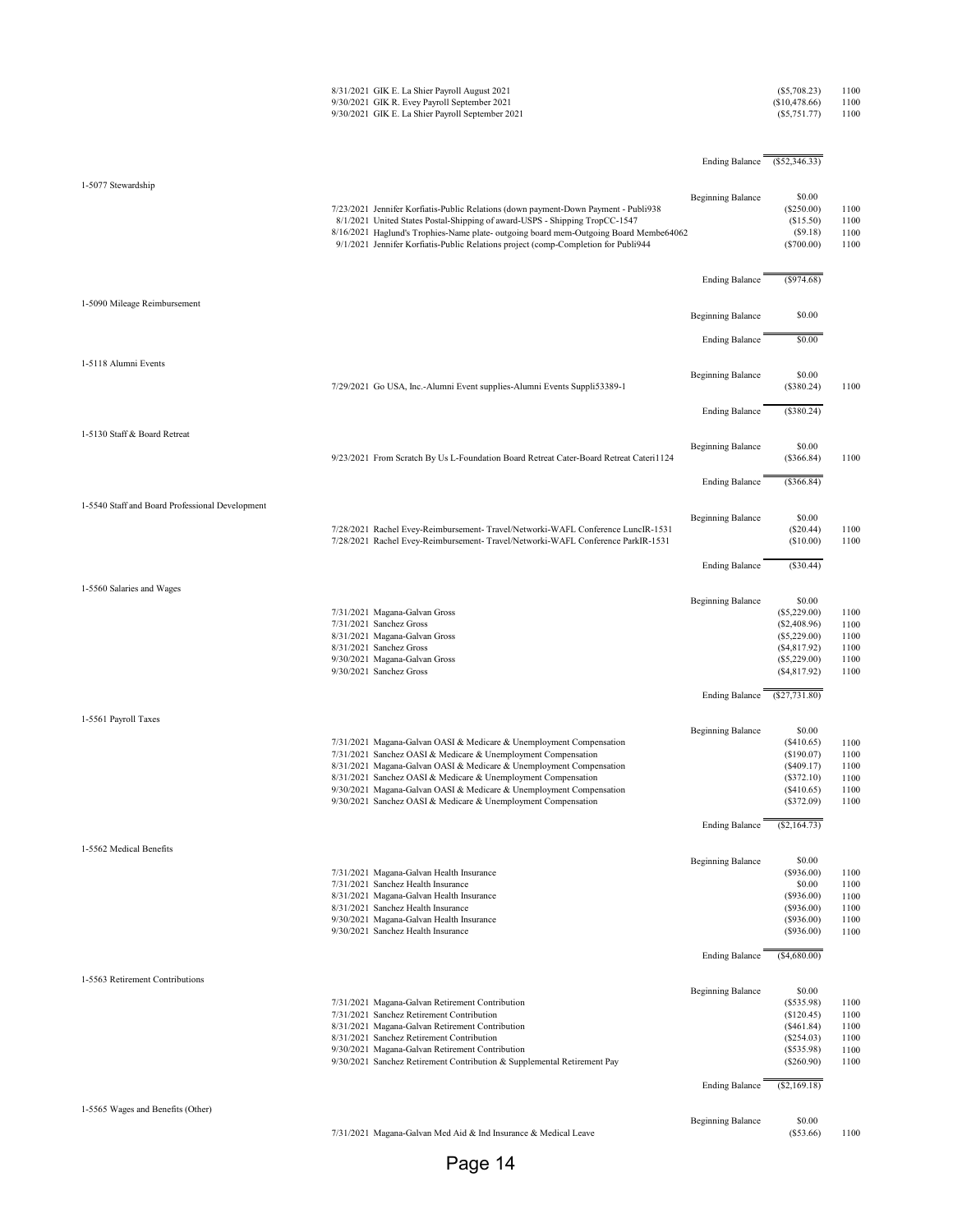|                                                 | 8/31/2021 GIK E. La Shier Payroll August 2021<br>9/30/2021 GIK R. Evey Payroll September 2021<br>9/30/2021 GIK E. La Shier Payroll September 2021                                                                                                                                                                                                                                                                    |                              | $(\$5,708.23)$<br>(\$10,478.66)<br>$(\$5,751.77)$                                                              | 1100<br>1100<br>1100                         |
|-------------------------------------------------|----------------------------------------------------------------------------------------------------------------------------------------------------------------------------------------------------------------------------------------------------------------------------------------------------------------------------------------------------------------------------------------------------------------------|------------------------------|----------------------------------------------------------------------------------------------------------------|----------------------------------------------|
|                                                 |                                                                                                                                                                                                                                                                                                                                                                                                                      | Ending Balance (\$52,346.33) |                                                                                                                |                                              |
| 1-5077 Stewardship                              | 7/23/2021 Jennifer Korfiatis-Public Relations (down payment-Down Payment - Publi938<br>8/1/2021 United States Postal-Shipping of award-USPS - Shipping TropCC-1547<br>8/16/2021 Haglund's Trophies-Name plate- outgoing board mem-Outgoing Board Membe64062<br>9/1/2021 Jennifer Korfiatis-Public Relations project (comp-Completion for Publi944                                                                    | <b>Beginning Balance</b>     | \$0.00<br>$(\$250.00)$<br>(\$15.50)<br>(S9.18)<br>$(\$700.00)$                                                 | 1100<br>1100<br>1100<br>1100                 |
|                                                 |                                                                                                                                                                                                                                                                                                                                                                                                                      | <b>Ending Balance</b>        | (\$974.68)                                                                                                     |                                              |
| 1-5090 Mileage Reimbursement                    |                                                                                                                                                                                                                                                                                                                                                                                                                      | <b>Beginning Balance</b>     | \$0.00                                                                                                         |                                              |
|                                                 |                                                                                                                                                                                                                                                                                                                                                                                                                      | <b>Ending Balance</b>        | \$0.00                                                                                                         |                                              |
| 1-5118 Alumni Events                            | 7/29/2021 Go USA, Inc.-Alumni Event supplies-Alumni Events Suppli53389-1                                                                                                                                                                                                                                                                                                                                             | <b>Beginning Balance</b>     | \$0.00<br>(\$380.24)                                                                                           | 1100                                         |
|                                                 |                                                                                                                                                                                                                                                                                                                                                                                                                      | <b>Ending Balance</b>        | (\$380.24)                                                                                                     |                                              |
| 1-5130 Staff & Board Retreat                    |                                                                                                                                                                                                                                                                                                                                                                                                                      |                              |                                                                                                                |                                              |
|                                                 | 9/23/2021 From Scratch By Us L-Foundation Board Retreat Cater-Board Retreat Cateri1124                                                                                                                                                                                                                                                                                                                               | <b>Beginning Balance</b>     | \$0.00<br>(\$366.84)                                                                                           | 1100                                         |
|                                                 |                                                                                                                                                                                                                                                                                                                                                                                                                      | <b>Ending Balance</b>        | (\$366.84)                                                                                                     |                                              |
| 1-5540 Staff and Board Professional Development | 7/28/2021 Rachel Evey-Reimbursement- Travel/Networki-WAFL Conference LuncIR-1531<br>7/28/2021 Rachel Evey-Reimbursement- Travel/Networki-WAFL Conference ParkIR-1531                                                                                                                                                                                                                                                 | <b>Beginning Balance</b>     | \$0.00<br>$(\$20.44)$<br>(\$10.00)                                                                             | 1100<br>1100                                 |
|                                                 |                                                                                                                                                                                                                                                                                                                                                                                                                      | <b>Ending Balance</b>        | (\$30.44)                                                                                                      |                                              |
| 1-5560 Salaries and Wages                       | 7/31/2021 Magana-Galvan Gross<br>7/31/2021 Sanchez Gross<br>8/31/2021 Magana-Galvan Gross<br>8/31/2021 Sanchez Gross<br>9/30/2021 Magana-Galvan Gross<br>9/30/2021 Sanchez Gross                                                                                                                                                                                                                                     | <b>Beginning Balance</b>     | \$0.00<br>$(\$5,229.00)$<br>$(\$2,408.96)$<br>$(\$5,229.00)$<br>(\$4,817.92)<br>$(\$5,229.00)$<br>(\$4,817.92) | 1100<br>1100<br>1100<br>1100<br>1100<br>1100 |
|                                                 |                                                                                                                                                                                                                                                                                                                                                                                                                      | <b>Ending Balance</b>        | (S27, 731.80)                                                                                                  |                                              |
| 1-5561 Payroll Taxes                            | 7/31/2021 Magana-Galvan OASI & Medicare & Unemployment Compensation<br>7/31/2021 Sanchez OASI & Medicare & Unemployment Compensation<br>8/31/2021 Magana-Galvan OASI & Medicare & Unemployment Compensation<br>8/31/2021 Sanchez OASI & Medicare & Unemployment Compensation<br>9/30/2021 Magana-Galvan OASI & Medicare & Unemployment Compensation<br>9/30/2021 Sanchez OASI & Medicare & Unemployment Compensation | <b>Beginning Balance</b>     | \$0.00<br>(\$410.65)<br>(\$190.07)<br>(\$409.17)<br>(\$372.10)<br>(\$410.65)<br>(\$372.09)                     | 1100<br>1100<br>1100<br>1100<br>1100<br>1100 |
|                                                 |                                                                                                                                                                                                                                                                                                                                                                                                                      | <b>Ending Balance</b>        | (\$2,164.73)                                                                                                   |                                              |
| 1-5562 Medical Benefits                         | 7/31/2021 Magana-Galvan Health Insurance<br>7/31/2021 Sanchez Health Insurance<br>8/31/2021 Magana-Galvan Health Insurance<br>8/31/2021 Sanchez Health Insurance<br>9/30/2021 Magana-Galvan Health Insurance<br>9/30/2021 Sanchez Health Insurance                                                                                                                                                                   | <b>Beginning Balance</b>     | \$0.00<br>(\$936.00)<br>\$0.00<br>(\$936.00)<br>(\$936.00)<br>(\$936.00)<br>(\$936.00)                         | 1100<br>1100<br>1100<br>1100<br>1100<br>1100 |
|                                                 |                                                                                                                                                                                                                                                                                                                                                                                                                      | <b>Ending Balance</b>        | (\$4,680.00)                                                                                                   |                                              |
| 1-5563 Retirement Contributions                 | 7/31/2021 Magana-Galvan Retirement Contribution<br>7/31/2021 Sanchez Retirement Contribution<br>8/31/2021 Magana-Galvan Retirement Contribution<br>8/31/2021 Sanchez Retirement Contribution<br>9/30/2021 Magana-Galvan Retirement Contribution<br>9/30/2021 Sanchez Retirement Contribution & Supplemental Retirement Pay                                                                                           | <b>Beginning Balance</b>     | \$0.00<br>(\$535.98)<br>(\$120.45)<br>(\$461.84)<br>(\$254.03)<br>(\$535.98)<br>(\$260.90)                     | 1100<br>1100<br>1100<br>1100<br>1100<br>1100 |
|                                                 |                                                                                                                                                                                                                                                                                                                                                                                                                      | <b>Ending Balance</b>        | $(\$2,169.18)$                                                                                                 |                                              |
| 1-5565 Wages and Benefits (Other)               | 7/31/2021 Magana-Galvan Med Aid & Ind Insurance & Medical Leave                                                                                                                                                                                                                                                                                                                                                      | <b>Beginning Balance</b>     | \$0.00<br>$(\$53.66)$                                                                                          | 1100                                         |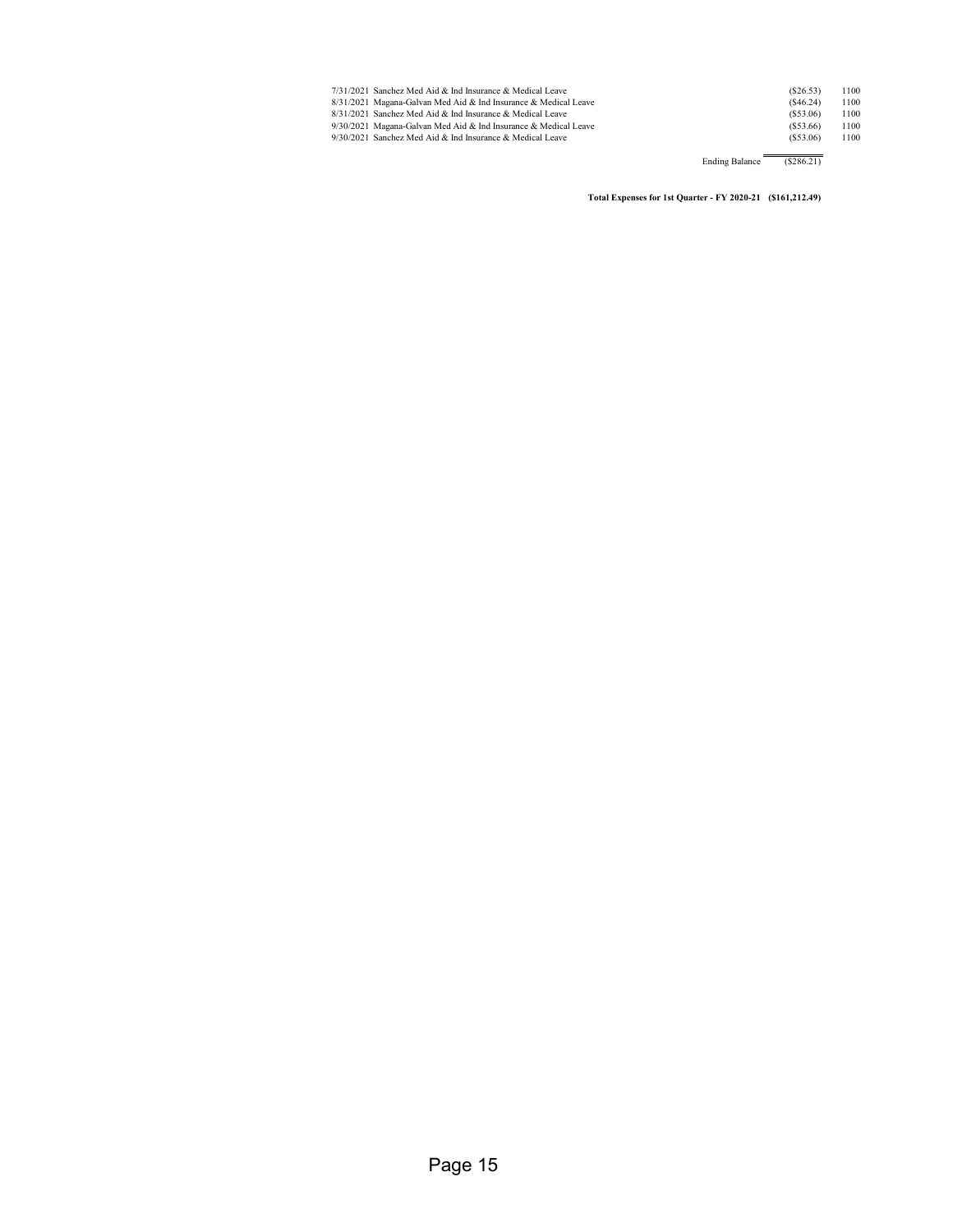| 7/31/2021 Sanchez Med Aid & Ind Insurance & Medical Leave       | (S26.53) | 1100 |
|-----------------------------------------------------------------|----------|------|
| 8/31/2021 Magana-Galvan Med Aid & Ind Insurance & Medical Leave | (S46.24) | 1100 |
| 8/31/2021 Sanchez Med Aid & Ind Insurance & Medical Leave       | (S53.06) | 1100 |
| 9/30/2021 Magana-Galvan Med Aid & Ind Insurance & Medical Leave | (S53.66) | 1100 |
| 9/30/2021 Sanchez Med Aid & Ind Insurance & Medical Leave       | (S53.06) | 1100 |
|                                                                 |          |      |

Ending Balance (\$286.21)

**Total Expenses for 1st Quarter - FY 2020-21 (\$161,212.49)**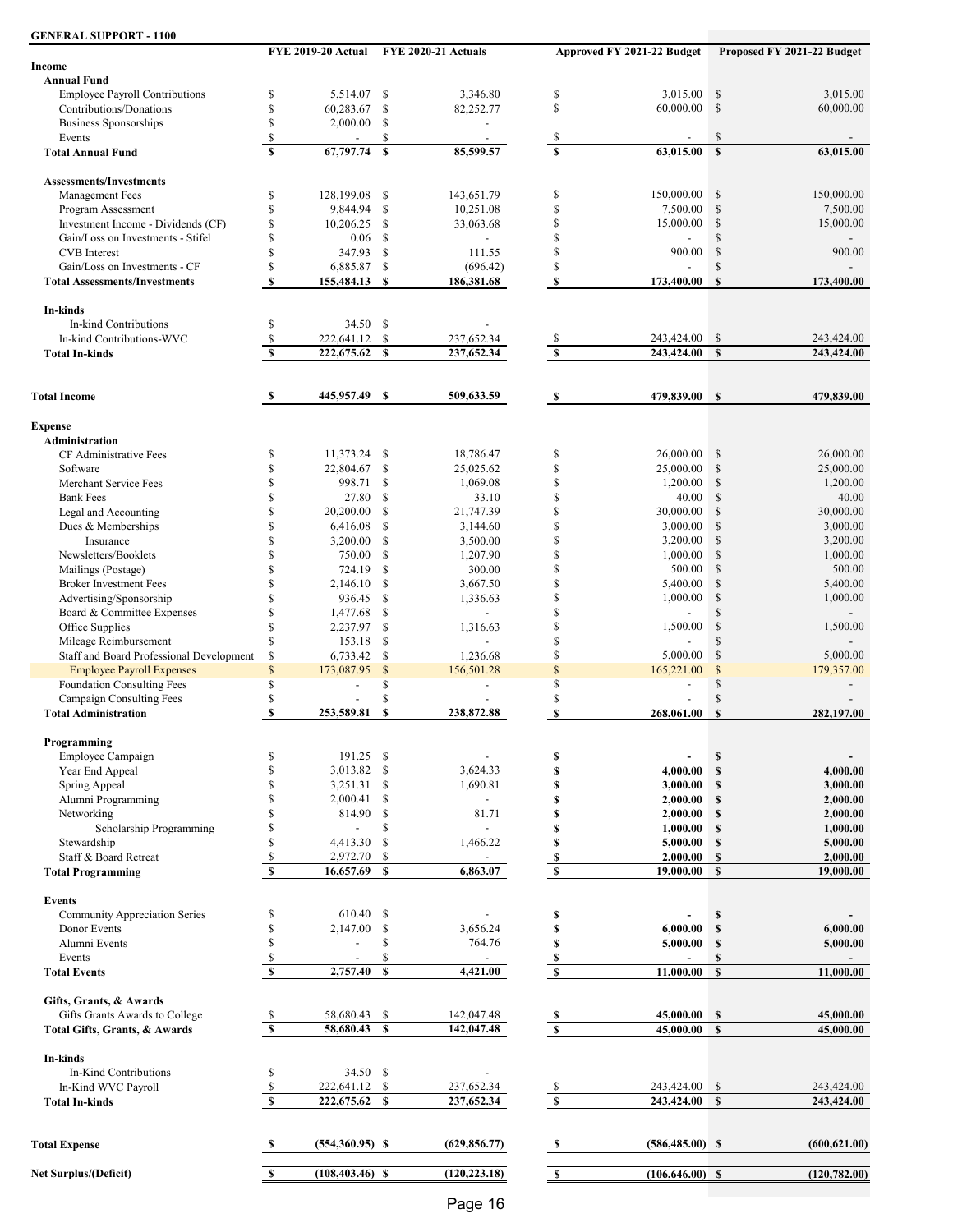| <b>GENERAL SUPPORT - 1100</b>            |                                           |                    |              |                                        |                         |                            |               |                            |
|------------------------------------------|-------------------------------------------|--------------------|--------------|----------------------------------------|-------------------------|----------------------------|---------------|----------------------------|
| <b>Income</b>                            |                                           |                    |              | FYE 2019-20 Actual FYE 2020-21 Actuals |                         | Approved FY 2021-22 Budget |               | Proposed FY 2021-22 Budget |
| <b>Annual Fund</b>                       |                                           |                    |              |                                        |                         |                            |               |                            |
| <b>Employee Payroll Contributions</b>    | \$                                        | 5,514.07 \$        |              | 3,346.80                               | \$                      | 3,015.00                   | $\mathbb{S}$  | 3,015.00                   |
| Contributions/Donations                  | \$                                        | 60,283.67          | \$           | 82,252.77                              | \$                      | 60,000.00                  | \$            | 60,000.00                  |
| <b>Business Sponsorships</b>             | \$                                        | 2,000.00           | \$           | $\overline{a}$                         |                         |                            |               |                            |
| Events                                   | \$                                        | $\overline{a}$     | \$           | $\overline{a}$                         | \$                      |                            | $\mathcal{S}$ |                            |
| <b>Total Annual Fund</b>                 | $\overline{\mathbf{s}}$                   | 67,797.74          | $\mathbf{s}$ | 85,599.57                              | $\overline{\mathbf{s}}$ | 63,015.00                  | $\mathbf{s}$  | 63,015.00                  |
| <b>Assessments/Investments</b>           |                                           |                    |              |                                        |                         |                            |               |                            |
| Management Fees                          | \$                                        | 128,199.08         | \$           | 143,651.79                             | \$                      | 150,000.00                 | \$            | 150,000.00                 |
| Program Assessment                       | \$                                        | 9,844.94           | \$           | 10,251.08                              | \$                      | 7,500.00                   | $\mathcal{S}$ | 7,500.00                   |
| Investment Income - Dividends (CF)       | \$                                        | 10,206.25          | \$           | 33,063.68                              | \$                      | 15,000.00                  | \$            | 15,000.00                  |
| Gain/Loss on Investments - Stifel        | \$                                        | 0.06               | \$           |                                        | \$                      |                            | \$            |                            |
| <b>CVB</b> Interest                      | \$                                        | 347.93             | \$           | 111.55                                 | \$                      | 900.00                     | \$            | 900.00                     |
| Gain/Loss on Investments - CF            | \$                                        | 6,885.87           | \$           | (696.42)                               | \$                      |                            | $\mathbb{S}$  |                            |
| <b>Total Assessments/Investments</b>     | $\mathbf{s}$                              | 155,484.13         | $\mathbf{s}$ | 186,381.68                             | $\mathbf{s}$            | 173,400.00                 | $\mathbf{s}$  | 173,400.00                 |
| In-kinds                                 |                                           |                    |              |                                        |                         |                            |               |                            |
| In-kind Contributions                    | \$                                        | 34.50 \$           |              |                                        |                         |                            |               |                            |
| In-kind Contributions-WVC                | \$                                        | 222,641.12         | \$           | 237,652.34                             | \$                      | 243,424.00                 | <sup>\$</sup> | 243,424.00                 |
| <b>Total In-kinds</b>                    | $\overline{\mathbf{s}}$                   | 222,675.62         | \$           | 237,652.34                             | $\overline{\mathbf{s}}$ | 243,424.00                 | $\mathbf S$   | 243,424.00                 |
|                                          |                                           |                    |              |                                        |                         |                            |               |                            |
| <b>Total Income</b>                      | S                                         | 445,957.49 \$      |              | 509,633.59                             | - \$                    | 479,839.00 \$              |               | 479,839.00                 |
| <b>Expense</b>                           |                                           |                    |              |                                        |                         |                            |               |                            |
| Administration                           |                                           |                    |              |                                        |                         |                            |               |                            |
| CF Administrative Fees                   | \$                                        | 11,373.24 \$       |              | 18,786.47                              | \$                      | 26,000.00                  | $\mathcal{S}$ | 26,000.00                  |
| Software                                 | \$                                        | 22,804.67          | \$           | 25,025.62                              | \$                      | 25,000.00                  | \$            | 25,000.00                  |
| Merchant Service Fees                    | \$                                        | 998.71             | \$           | 1,069.08                               | \$                      | 1,200.00                   | $\mathbb{S}$  | 1,200.00                   |
| <b>Bank Fees</b>                         | \$                                        | 27.80              | \$           | 33.10                                  | \$                      | 40.00                      | <sup>\$</sup> | 40.00                      |
| Legal and Accounting                     | \$                                        | 20,200.00          | \$           | 21,747.39                              | \$                      | 30,000.00                  | \$            | 30,000.00                  |
| Dues & Memberships                       | \$                                        | 6,416.08           | \$           | 3,144.60                               | \$                      | 3,000.00                   | $\mathcal{S}$ | 3,000.00                   |
| Insurance                                | \$                                        | 3,200.00           | \$           | 3,500.00                               | \$                      | 3,200.00                   | $\mathcal{S}$ | 3,200.00                   |
| Newsletters/Booklets                     | \$                                        | 750.00             | \$           | 1,207.90                               | \$                      | 1,000.00                   | \$            | 1,000.00                   |
| Mailings (Postage)                       | \$                                        | 724.19             | \$           | 300.00                                 | \$                      | 500.00                     | $\mathbb{S}$  | 500.00                     |
| <b>Broker Investment Fees</b>            | \$                                        | 2,146.10           | \$           | 3,667.50                               | \$                      | 5,400.00                   | $\mathcal{S}$ | 5,400.00                   |
| Advertising/Sponsorship                  | \$                                        | 936.45             | \$           | 1,336.63                               | \$                      | 1,000.00                   | $\mathbb{S}$  | 1,000.00                   |
| Board & Committee Expenses               | \$                                        | 1,477.68           | \$           | $\overline{a}$                         | \$                      |                            | \$            |                            |
| Office Supplies                          | \$                                        | 2,237.97           | \$           | 1,316.63                               | \$                      | 1,500.00                   | \$            | 1,500.00                   |
| Mileage Reimbursement                    | \$                                        | 153.18             | \$           | $\overline{\phantom{a}}$               | \$                      |                            | \$            |                            |
| Staff and Board Professional Development | \$                                        | 6,733.42           | \$           | 1,236.68                               | \$                      | 5,000.00                   | \$            | 5,000.00                   |
| <b>Employee Payroll Expenses</b>         | \$                                        | 173,087.95         | $\$$         | 156,501.28                             | \$                      | 165,221.00                 | \$            | 179,357.00                 |
| Foundation Consulting Fees               | \$                                        |                    | \$           | $\blacksquare$                         | \$                      |                            | \$            |                            |
| Campaign Consulting Fees                 | \$                                        |                    | \$           |                                        | \$                      |                            | \$            |                            |
| <b>Total Administration</b>              | S                                         | 253,589.81         | $\mathbf s$  | 238,872.88                             | \$                      | 268,061.00                 | $\mathbf{s}$  | 282,197.00                 |
| Programming                              |                                           |                    |              |                                        |                         |                            |               |                            |
| Employee Campaign                        | \$                                        | 191.25 \$          |              |                                        | \$                      |                            | $\mathbb S$   |                            |
| Year End Appeal                          | \$                                        | 3,013.82 \$        |              | 3,624.33                               | \$                      | 4,000.00                   | $\mathbf S$   | 4,000.00                   |
| Spring Appeal                            | \$                                        | 3,251.31           | \$           | 1,690.81                               | \$                      | 3,000.00                   | \$            | 3,000.00                   |
| Alumni Programming                       | \$                                        | 2,000.41           | \$           | $\blacksquare$                         | \$                      | 2,000.00                   | \$            | 2,000.00                   |
| Networking                               | \$                                        | 814.90             | \$           | 81.71                                  | \$                      | 2,000.00                   | \$            | 2,000.00                   |
| Scholarship Programming                  | \$                                        | $\mathbb{Z}^2$     | \$           | ÷.                                     | S                       | 1,000.00                   | \$            | 1,000.00                   |
| Stewardship                              | \$                                        | 4,413.30           | $\mathbb{S}$ | 1,466.22                               | \$                      | 5,000.00                   | \$            | 5,000.00                   |
| Staff & Board Retreat                    | \$                                        | 2,972.70           | \$           |                                        | S                       | 2,000.00                   | $\mathbb S$   | 2,000.00                   |
| <b>Total Programming</b>                 | $\overline{\mathbf{s}}$                   | 16,657.69          | $\mathbb S$  | 6,863.07                               | $\mathbf S$             | 19,000.00                  | $\mathbf{s}$  | 19,000.00                  |
|                                          |                                           |                    |              |                                        |                         |                            |               |                            |
| <b>Events</b>                            |                                           |                    |              |                                        |                         |                            |               |                            |
| <b>Community Appreciation Series</b>     | \$                                        | 610.40             | \$           |                                        | \$                      |                            | $\mathbb S$   |                            |
| Donor Events                             | \$                                        | 2,147.00           | \$           | 3,656.24                               | \$                      | 6,000.00                   | $\mathbf S$   | 6,000.00                   |
| Alumni Events                            | \$                                        |                    | \$           | 764.76                                 | \$                      | 5,000.00                   | $\mathbb S$   | 5,000.00                   |
| Events                                   | $\mathbb{S}$<br>$\boldsymbol{\mathbb{S}}$ |                    | \$           |                                        | S                       |                            | $\mathbb S$   |                            |
| <b>Total Events</b>                      |                                           | 2,757.40           | <b>S</b>     | 4,421.00                               | $\mathbf{s}$            | 11,000.00                  | $\mathbf{s}$  | 11,000.00                  |
| Gifts, Grants, & Awards                  |                                           |                    |              |                                        |                         |                            |               |                            |
| Gifts Grants Awards to College           | \$                                        | 58,680.43 \$       |              | 142,047.48                             | S                       | 45,000.00                  | <b>S</b>      | 45,000.00                  |
| Total Gifts, Grants, & Awards            | $\overline{\mathbf{s}}$                   | 58,680.43          | $\mathbf{s}$ | 142,047.48                             | $\overline{\mathbf{s}}$ | 45,000.00                  | $\mathbf{s}$  | 45,000.00                  |
| In-kinds                                 |                                           |                    |              |                                        |                         |                            |               |                            |
| In-Kind Contributions                    | \$                                        | 34.50 \$           |              |                                        |                         |                            |               |                            |
| In-Kind WVC Payroll                      | $\boldsymbol{\mathsf{S}}$                 | 222,641.12         | \$           | 237,652.34                             | $\frac{1}{2}$           | 243,424.00 \$              |               | 243,424.00                 |
| <b>Total In-kinds</b>                    | $\mathbf S$                               | 222,675.62         | - \$         | 237,652.34                             | $\mathbf{s}$            | 243,424.00                 | $\mathbf{s}$  | 243,424.00                 |
|                                          |                                           |                    |              |                                        |                         |                            |               |                            |
| <b>Total Expense</b>                     | S                                         | $(554,360.95)$ \$  |              | (629, 856.77)                          | S                       | $(586, 485.00)$ \$         |               | (600, 621.00)              |
|                                          |                                           |                    |              |                                        |                         |                            |               |                            |
| <b>Net Surplus/(Deficit)</b>             | S                                         | $(108, 403.46)$ \$ |              | (120, 223.18)                          | $\mathbf{s}$            | $(106, 646.00)$ \$         |               | (120, 782.00)              |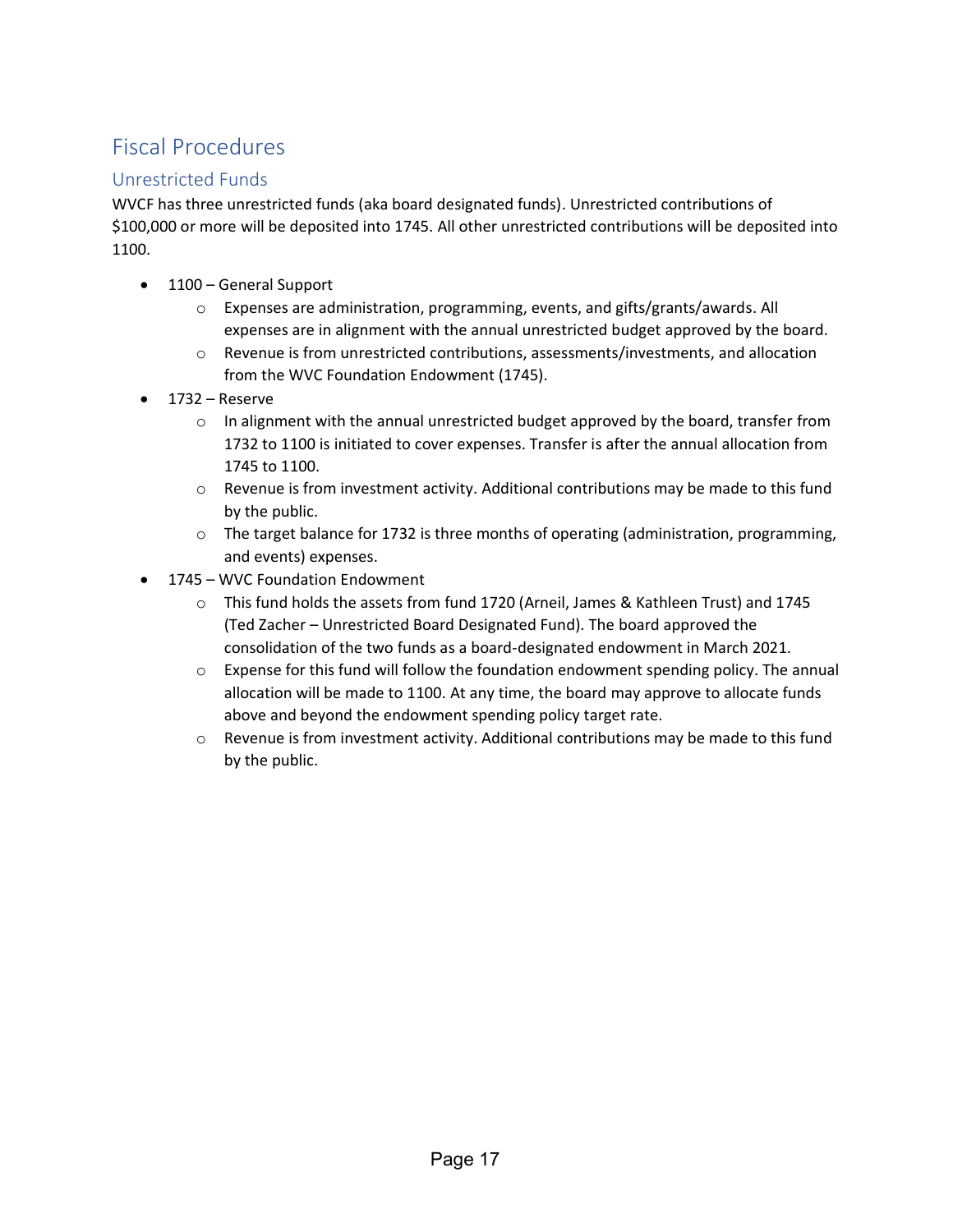### Fiscal Procedures

### Unrestricted Funds

WVCF has three unrestricted funds (aka board designated funds). Unrestricted contributions of \$100,000 or more will be deposited into 1745. All other unrestricted contributions will be deposited into 1100.

- 1100 General Support
	- $\circ$  Expenses are administration, programming, events, and gifts/grants/awards. All expenses are in alignment with the annual unrestricted budget approved by the board.
	- $\circ$  Revenue is from unrestricted contributions, assessments/investments, and allocation from the WVC Foundation Endowment (1745).
- 1732 Reserve
	- $\circ$  In alignment with the annual unrestricted budget approved by the board, transfer from 1732 to 1100 is initiated to cover expenses. Transfer is after the annual allocation from 1745 to 1100.
	- $\circ$  Revenue is from investment activity. Additional contributions may be made to this fund by the public.
	- $\circ$  The target balance for 1732 is three months of operating (administration, programming, and events) expenses.
- 1745 WVC Foundation Endowment
	- o This fund holds the assets from fund 1720 (Arneil, James & Kathleen Trust) and 1745 (Ted Zacher – Unrestricted Board Designated Fund). The board approved the consolidation of the two funds as a board-designated endowment in March 2021.
	- $\circ$  Expense for this fund will follow the foundation endowment spending policy. The annual allocation will be made to 1100. At any time, the board may approve to allocate funds above and beyond the endowment spending policy target rate.
	- $\circ$  Revenue is from investment activity. Additional contributions may be made to this fund by the public.